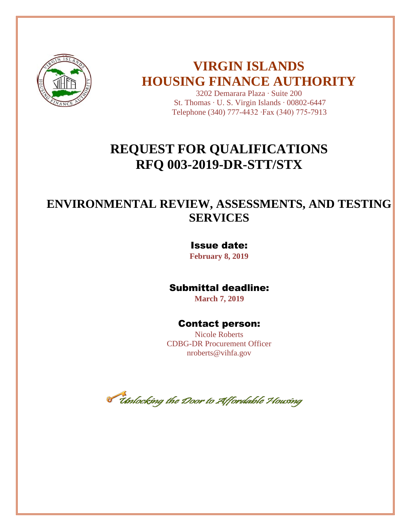

# **VIRGIN ISLANDS HOUSING FINANCE AUTHORITY**

3202 Demarara Plaza ∙ Suite 200 St. Thomas ∙ U. S. Virgin Islands ∙ 00802-6447 Telephone (340) 777-4432 ∙Fax (340) 775-7913

# **REQUEST FOR QUALIFICATIONS RFQ 003-2019-DR-STT/STX**

# **ENVIRONMENTAL REVIEW, ASSESSMENTS, AND TESTING SERVICES**

## Issue date:

**February 8, 2019**

## Submittal deadline:

 **March 7, 2019**

## Contact person:

Nicole Roberts CDBG-DR Procurement Officer nroberts@vihfa.gov

*Chalocking the Door to Affordable Housing*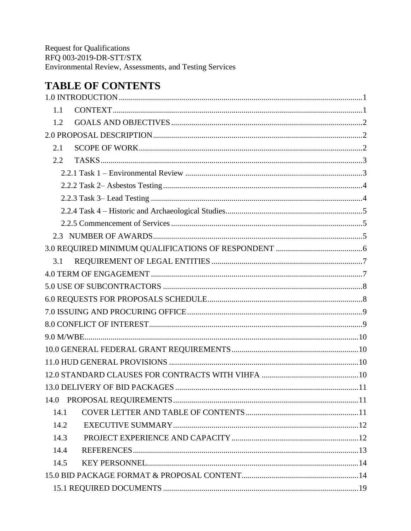# **TABLE OF CONTENTS**

| 1.1  |  |
|------|--|
| 1.2  |  |
|      |  |
| 2.1  |  |
| 2.2  |  |
|      |  |
|      |  |
|      |  |
|      |  |
|      |  |
|      |  |
|      |  |
| 3.1  |  |
|      |  |
|      |  |
|      |  |
|      |  |
|      |  |
|      |  |
|      |  |
|      |  |
|      |  |
|      |  |
|      |  |
| 14.1 |  |
| 14.2 |  |
| 14.3 |  |
| 14.4 |  |
| 14.5 |  |
|      |  |
|      |  |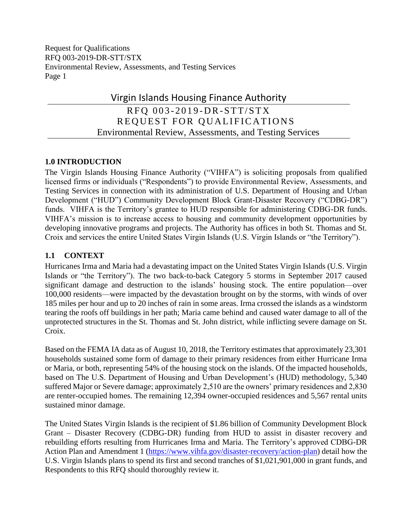# Virgin Islands Housing Finance Authority RFO 003-2019-DR-STT/STX

REQUEST FOR QUALIFICATIONS Environmental Review, Assessments, and Testing Services

## <span id="page-3-0"></span>**1.0 INTRODUCTION**

The Virgin Islands Housing Finance Authority ("VIHFA") is soliciting proposals from qualified licensed firms or individuals ("Respondents") to provide Environmental Review, Assessments, and Testing Services in connection with its administration of U.S. Department of Housing and Urban Development ("HUD") Community Development Block Grant-Disaster Recovery ("CDBG-DR") funds. VIHFA is the Territory's grantee to HUD responsible for administering CDBG-DR funds. VIHFA's mission is to increase access to housing and community development opportunities by developing innovative programs and projects. The Authority has offices in both St. Thomas and St. Croix and services the entire United States Virgin Islands (U.S. Virgin Islands or "the Territory").

## <span id="page-3-1"></span>**1.1 CONTEXT**

Hurricanes Irma and Maria had a devastating impact on the United States Virgin Islands (U.S. Virgin Islands or "the Territory"). The two back-to-back Category 5 storms in September 2017 caused significant damage and destruction to the islands' housing stock. The entire population—over 100,000 residents—were impacted by the devastation brought on by the storms, with winds of over 185 miles per hour and up to 20 inches of rain in some areas. Irma crossed the islands as a windstorm tearing the roofs off buildings in her path; Maria came behind and caused water damage to all of the unprotected structures in the St. Thomas and St. John district, while inflicting severe damage on St. Croix.

Based on the FEMA IA data as of August 10, 2018, the Territory estimates that approximately 23,301 households sustained some form of damage to their primary residences from either Hurricane Irma or Maria, or both, representing 54% of the housing stock on the islands. Of the impacted households, based on The U.S. Department of Housing and Urban Development's (HUD) methodology, 5,340 suffered Major or Severe damage; approximately 2,510 are the owners' primary residences and 2,830 are renter-occupied homes. The remaining 12,394 owner-occupied residences and 5,567 rental units sustained minor damage.

The United States Virgin Islands is the recipient of \$1.86 billion of Community Development Block Grant – Disaster Recovery (CDBG-DR) funding from HUD to assist in disaster recovery and rebuilding efforts resulting from Hurricanes Irma and Maria. The Territory's approved CDBG-DR Action Plan and Amendment 1 [\(https://www.vihfa.gov/disaster-recovery/action-plan\)](https://www.vihfa.gov/disaster-recovery/action-plan) detail how the U.S. Virgin Islands plans to spend its first and second tranches of \$1,021,901,000 in grant funds, and Respondents to this RFQ should thoroughly review it.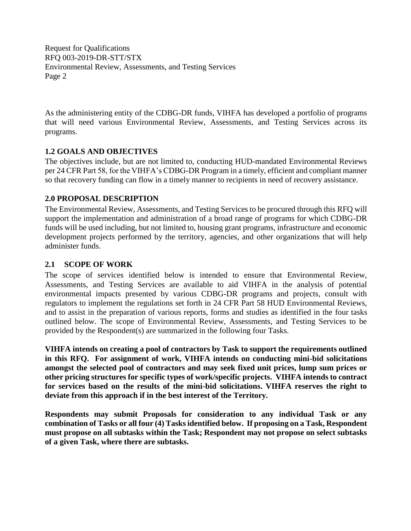As the administering entity of the CDBG-DR funds, VIHFA has developed a portfolio of programs that will need various Environmental Review, Assessments, and Testing Services across its programs.

## <span id="page-4-0"></span>**1.2 GOALS AND OBJECTIVES**

The objectives include, but are not limited to, conducting HUD-mandated Environmental Reviews per 24 CFR Part 58, for the VIHFA's CDBG-DR Program in a timely, efficient and compliant manner so that recovery funding can flow in a timely manner to recipients in need of recovery assistance.

#### <span id="page-4-1"></span>**2.0 PROPOSAL DESCRIPTION**

The Environmental Review, Assessments, and Testing Services to be procured through this RFQ will support the implementation and administration of a broad range of programs for which CDBG-DR funds will be used including, but not limited to, housing grant programs, infrastructure and economic development projects performed by the territory, agencies, and other organizations that will help administer funds.

#### <span id="page-4-2"></span>**2.1 SCOPE OF WORK**

The scope of services identified below is intended to ensure that Environmental Review, Assessments, and Testing Services are available to aid VIHFA in the analysis of potential environmental impacts presented by various CDBG-DR programs and projects, consult with regulators to implement the regulations set forth in 24 CFR Part 58 HUD Environmental Reviews, and to assist in the preparation of various reports, forms and studies as identified in the four tasks outlined below. The scope of Environmental Review, Assessments, and Testing Services to be provided by the Respondent(s) are summarized in the following four Tasks.

**VIHFA intends on creating a pool of contractors by Task to support the requirements outlined in this RFQ. For assignment of work, VIHFA intends on conducting mini-bid solicitations amongst the selected pool of contractors and may seek fixed unit prices, lump sum prices or other pricing structures for specific types of work/specific projects. VIHFA intends to contract for services based on the results of the mini-bid solicitations. VIHFA reserves the right to deviate from this approach if in the best interest of the Territory.** 

**Respondents may submit Proposals for consideration to any individual Task or any combination of Tasks or all four (4) Tasks identified below. If proposing on a Task, Respondent must propose on all subtasks within the Task; Respondent may not propose on select subtasks of a given Task, where there are subtasks.**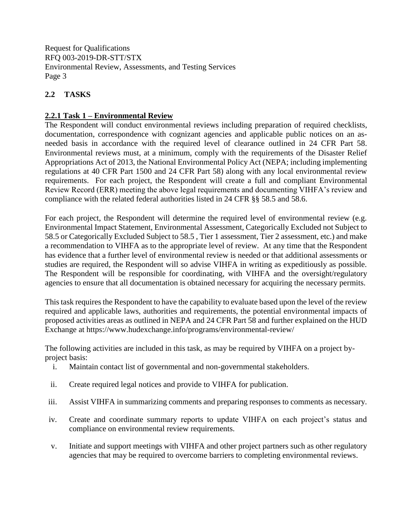## <span id="page-5-0"></span>**2.2 TASKS**

## <span id="page-5-1"></span>**2.2.1 Task 1 – Environmental Review**

The Respondent will conduct environmental reviews including preparation of required checklists, documentation, correspondence with cognizant agencies and applicable public notices on an asneeded basis in accordance with the required level of clearance outlined in 24 CFR Part 58. Environmental reviews must, at a minimum, comply with the requirements of the Disaster Relief Appropriations Act of 2013, the National Environmental Policy Act (NEPA; including implementing regulations at 40 CFR Part 1500 and 24 CFR Part 58) along with any local environmental review requirements. For each project, the Respondent will create a full and compliant Environmental Review Record (ERR) meeting the above legal requirements and documenting VIHFA's review and compliance with the related federal authorities listed in 24 CFR §§ 58.5 and 58.6.

For each project, the Respondent will determine the required level of environmental review (e.g. Environmental Impact Statement, Environmental Assessment, Categorically Excluded not Subject to 58.5 or Categorically Excluded Subject to 58.5 , Tier 1 assessment, Tier 2 assessment, etc.) and make a recommendation to VIHFA as to the appropriate level of review. At any time that the Respondent has evidence that a further level of environmental review is needed or that additional assessments or studies are required, the Respondent will so advise VIHFA in writing as expeditiously as possible. The Respondent will be responsible for coordinating, with VIHFA and the oversight/regulatory agencies to ensure that all documentation is obtained necessary for acquiring the necessary permits.

This task requires the Respondent to have the capability to evaluate based upon the level of the review required and applicable laws, authorities and requirements, the potential environmental impacts of proposed activities areas as outlined in NEPA and 24 CFR Part 58 and further explained on the HUD Exchange at https://www.hudexchange.info/programs/environmental-review/

The following activities are included in this task, as may be required by VIHFA on a project byproject basis:

- i. Maintain contact list of governmental and non-governmental stakeholders.
- ii. Create required legal notices and provide to VIHFA for publication.
- iii. Assist VIHFA in summarizing comments and preparing responses to comments as necessary.
- iv. Create and coordinate summary reports to update VIHFA on each project's status and compliance on environmental review requirements.
- v. Initiate and support meetings with VIHFA and other project partners such as other regulatory agencies that may be required to overcome barriers to completing environmental reviews.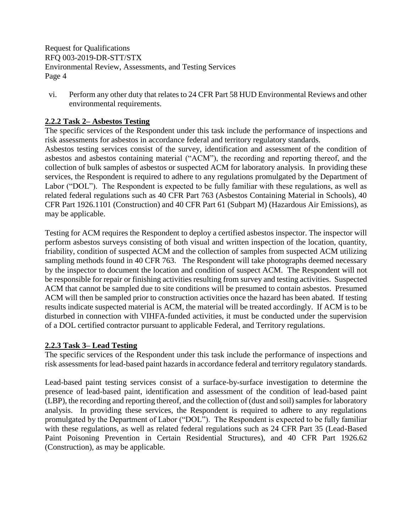vi. Perform any other duty that relates to 24 CFR Part 58 HUD Environmental Reviews and other environmental requirements.

### <span id="page-6-0"></span>**2.2.2 Task 2– Asbestos Testing**

The specific services of the Respondent under this task include the performance of inspections and risk assessments for asbestos in accordance federal and territory regulatory standards.

Asbestos testing services consist of the survey, identification and assessment of the condition of asbestos and asbestos containing material ("ACM"), the recording and reporting thereof, and the collection of bulk samples of asbestos or suspected ACM for laboratory analysis. In providing these services, the Respondent is required to adhere to any regulations promulgated by the Department of Labor ("DOL"). The Respondent is expected to be fully familiar with these regulations, as well as related federal regulations such as 40 CFR Part 763 (Asbestos Containing Material in Schools), 40 CFR Part 1926.1101 (Construction) and 40 CFR Part 61 (Subpart M) (Hazardous Air Emissions), as may be applicable.

Testing for ACM requires the Respondent to deploy a certified asbestos inspector. The inspector will perform asbestos surveys consisting of both visual and written inspection of the location, quantity, friability, condition of suspected ACM and the collection of samples from suspected ACM utilizing sampling methods found in 40 CFR 763. The Respondent will take photographs deemed necessary by the inspector to document the location and condition of suspect ACM. The Respondent will not be responsible for repair or finishing activities resulting from survey and testing activities. Suspected ACM that cannot be sampled due to site conditions will be presumed to contain asbestos. Presumed ACM will then be sampled prior to construction activities once the hazard has been abated. If testing results indicate suspected material is ACM, the material will be treated accordingly. If ACM is to be disturbed in connection with VIHFA-funded activities, it must be conducted under the supervision of a DOL certified contractor pursuant to applicable Federal, and Territory regulations.

#### <span id="page-6-1"></span>**2.2.3 Task 3– Lead Testing**

The specific services of the Respondent under this task include the performance of inspections and risk assessments for lead-based paint hazards in accordance federal and territory regulatory standards.

Lead-based paint testing services consist of a surface-by-surface investigation to determine the presence of lead-based paint, identification and assessment of the condition of lead-based paint (LBP), the recording and reporting thereof, and the collection of (dust and soil) samples for laboratory analysis. In providing these services, the Respondent is required to adhere to any regulations promulgated by the Department of Labor ("DOL"). The Respondent is expected to be fully familiar with these regulations, as well as related federal regulations such as 24 CFR Part 35 (Lead-Based Paint Poisoning Prevention in Certain Residential Structures), and 40 CFR Part 1926.62 (Construction), as may be applicable.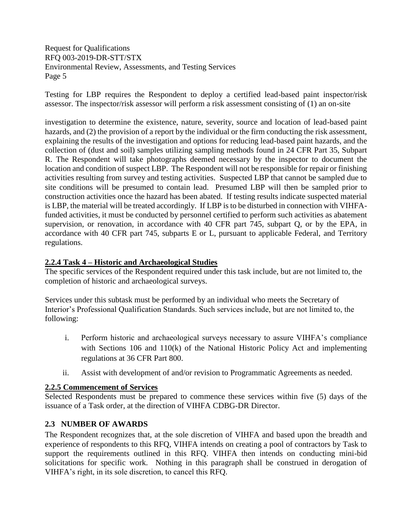Testing for LBP requires the Respondent to deploy a certified lead-based paint inspector/risk assessor. The inspector/risk assessor will perform a risk assessment consisting of (1) an on-site

investigation to determine the existence, nature, severity, source and location of lead-based paint hazards, and (2) the provision of a report by the individual or the firm conducting the risk assessment, explaining the results of the investigation and options for reducing lead-based paint hazards, and the collection of (dust and soil) samples utilizing sampling methods found in 24 CFR Part 35, Subpart R. The Respondent will take photographs deemed necessary by the inspector to document the location and condition of suspect LBP. The Respondent will not be responsible for repair or finishing activities resulting from survey and testing activities. Suspected LBP that cannot be sampled due to site conditions will be presumed to contain lead. Presumed LBP will then be sampled prior to construction activities once the hazard has been abated. If testing results indicate suspected material is LBP, the material will be treated accordingly. If LBP is to be disturbed in connection with VIHFAfunded activities, it must be conducted by personnel certified to perform such activities as abatement supervision, or renovation, in accordance with 40 CFR part 745, subpart Q, or by the EPA, in accordance with 40 CFR part 745, subparts E or L, pursuant to applicable Federal, and Territory regulations.

## <span id="page-7-0"></span>**2.2.4 Task 4 – Historic and Archaeological Studies**

The specific services of the Respondent required under this task include, but are not limited to, the completion of historic and archaeological surveys.

Services under this subtask must be performed by an individual who meets the Secretary of Interior's Professional Qualification Standards. Such services include, but are not limited to, the following:

- i. Perform historic and archaeological surveys necessary to assure VIHFA's compliance with Sections 106 and 110(k) of the National Historic Policy Act and implementing regulations at 36 CFR Part 800.
- ii. Assist with development of and/or revision to Programmatic Agreements as needed.

## <span id="page-7-1"></span>**2.2.5 Commencement of Services**

Selected Respondents must be prepared to commence these services within five (5) days of the issuance of a Task order, at the direction of VIHFA CDBG-DR Director.

## <span id="page-7-2"></span>**2.3 NUMBER OF AWARDS**

The Respondent recognizes that, at the sole discretion of VIHFA and based upon the breadth and experience of respondents to this RFQ, VIHFA intends on creating a pool of contractors by Task to support the requirements outlined in this RFQ. VIHFA then intends on conducting mini-bid solicitations for specific work. Nothing in this paragraph shall be construed in derogation of VIHFA's right, in its sole discretion, to cancel this RFQ.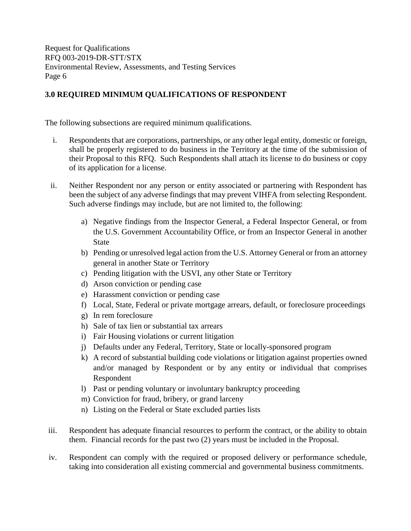## <span id="page-8-0"></span>**3.0 REQUIRED MINIMUM QUALIFICATIONS OF RESPONDENT**

The following subsections are required minimum qualifications.

- i. Respondents that are corporations, partnerships, or any other legal entity, domestic or foreign, shall be properly registered to do business in the Territory at the time of the submission of their Proposal to this RFQ. Such Respondents shall attach its license to do business or copy of its application for a license.
- ii. Neither Respondent nor any person or entity associated or partnering with Respondent has been the subject of any adverse findings that may prevent VIHFA from selecting Respondent. Such adverse findings may include, but are not limited to, the following:
	- a) Negative findings from the Inspector General, a Federal Inspector General, or from the U.S. Government Accountability Office, or from an Inspector General in another State
	- b) Pending or unresolved legal action from the U.S. Attorney General or from an attorney general in another State or Territory
	- c) Pending litigation with the USVI, any other State or Territory
	- d) Arson conviction or pending case
	- e) Harassment conviction or pending case
	- f) Local, State, Federal or private mortgage arrears, default, or foreclosure proceedings
	- g) In rem foreclosure
	- h) Sale of tax lien or substantial tax arrears
	- i) Fair Housing violations or current litigation
	- j) Defaults under any Federal, Territory, State or locally-sponsored program
	- k) A record of substantial building code violations or litigation against properties owned and/or managed by Respondent or by any entity or individual that comprises Respondent
	- l) Past or pending voluntary or involuntary bankruptcy proceeding
	- m) Conviction for fraud, bribery, or grand larceny
	- n) Listing on the Federal or State excluded parties lists
- iii. Respondent has adequate financial resources to perform the contract, or the ability to obtain them. Financial records for the past two (2) years must be included in the Proposal.
- iv. Respondent can comply with the required or proposed delivery or performance schedule, taking into consideration all existing commercial and governmental business commitments.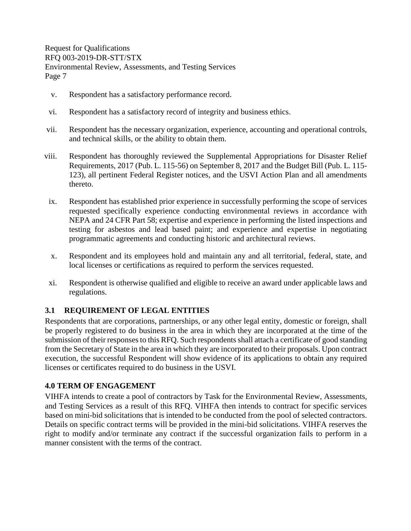- v. Respondent has a satisfactory performance record.
- vi. Respondent has a satisfactory record of integrity and business ethics.
- vii. Respondent has the necessary organization, experience, accounting and operational controls, and technical skills, or the ability to obtain them.
- viii. Respondent has thoroughly reviewed the Supplemental Appropriations for Disaster Relief Requirements, 2017 (Pub. L. 115-56) on September 8, 2017 and the Budget Bill (Pub. L. 115- 123), all pertinent Federal Register notices, and the USVI Action Plan and all amendments thereto.
- ix. Respondent has established prior experience in successfully performing the scope of services requested specifically experience conducting environmental reviews in accordance with NEPA and 24 CFR Part 58; expertise and experience in performing the listed inspections and testing for asbestos and lead based paint; and experience and expertise in negotiating programmatic agreements and conducting historic and architectural reviews.
- x. Respondent and its employees hold and maintain any and all territorial, federal, state, and local licenses or certifications as required to perform the services requested.
- xi. Respondent is otherwise qualified and eligible to receive an award under applicable laws and regulations.

## <span id="page-9-0"></span>**3.1 REQUIREMENT OF LEGAL ENTITIES**

Respondents that are corporations, partnerships, or any other legal entity, domestic or foreign, shall be properly registered to do business in the area in which they are incorporated at the time of the submission of their responses to this RFQ. Such respondents shall attach a certificate of good standing from the Secretary of State in the area in which they are incorporated to their proposals. Upon contract execution, the successful Respondent will show evidence of its applications to obtain any required licenses or certificates required to do business in the USVI.

## <span id="page-9-1"></span>**4.0 TERM OF ENGAGEMENT**

VIHFA intends to create a pool of contractors by Task for the Environmental Review, Assessments, and Testing Services as a result of this RFQ. VIHFA then intends to contract for specific services based on mini-bid solicitations that is intended to be conducted from the pool of selected contractors. Details on specific contract terms will be provided in the mini-bid solicitations. VIHFA reserves the right to modify and/or terminate any contract if the successful organization fails to perform in a manner consistent with the terms of the contract.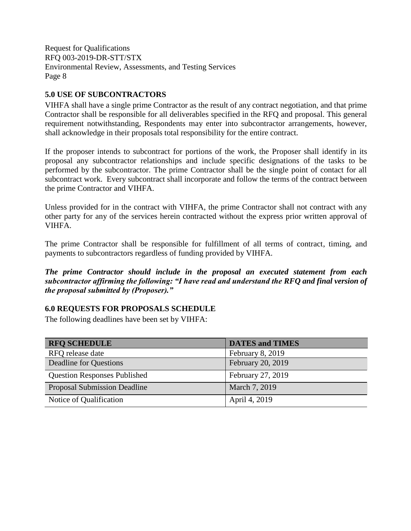## <span id="page-10-0"></span>**5.0 USE OF SUBCONTRACTORS**

VIHFA shall have a single prime Contractor as the result of any contract negotiation, and that prime Contractor shall be responsible for all deliverables specified in the RFQ and proposal. This general requirement notwithstanding, Respondents may enter into subcontractor arrangements, however, shall acknowledge in their proposals total responsibility for the entire contract.

If the proposer intends to subcontract for portions of the work, the Proposer shall identify in its proposal any subcontractor relationships and include specific designations of the tasks to be performed by the subcontractor. The prime Contractor shall be the single point of contact for all subcontract work. Every subcontract shall incorporate and follow the terms of the contract between the prime Contractor and VIHFA.

Unless provided for in the contract with VIHFA, the prime Contractor shall not contract with any other party for any of the services herein contracted without the express prior written approval of VIHFA.

The prime Contractor shall be responsible for fulfillment of all terms of contract, timing, and payments to subcontractors regardless of funding provided by VIHFA.

*The prime Contractor should include in the proposal an executed statement from each subcontractor affirming the following: "I have read and understand the RFQ and final version of the proposal submitted by (Proposer)."*

## <span id="page-10-1"></span>**6.0 REQUESTS FOR PROPOSALS SCHEDULE**

The following deadlines have been set by VIHFA:

<span id="page-10-2"></span>

| <b>RFQ SCHEDULE</b>                 | <b>DATES and TIMES</b> |
|-------------------------------------|------------------------|
| RFQ release date                    | February 8, 2019       |
| Deadline for Questions              | February 20, 2019      |
| <b>Question Responses Published</b> | February 27, 2019      |
| <b>Proposal Submission Deadline</b> | March 7, 2019          |
| Notice of Qualification             | April 4, 2019          |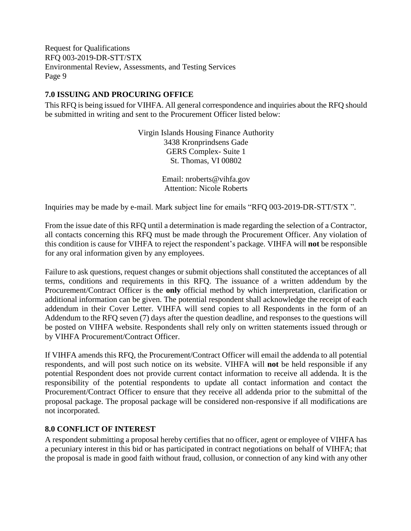## **7.0 ISSUING AND PROCURING OFFICE**

This RFQ is being issued for VIHFA. All general correspondence and inquiries about the RFQ should be submitted in writing and sent to the Procurement Officer listed below:

> Virgin Islands Housing Finance Authority 3438 Kronprindsens Gade GERS Complex- Suite 1 St. Thomas, VI 00802

> > Email: nroberts@vihfa.gov Attention: Nicole Roberts

Inquiries may be made by e-mail. Mark subject line for emails "RFQ 003-2019-DR-STT/STX ".

From the issue date of this RFQ until a determination is made regarding the selection of a Contractor, all contacts concerning this RFQ must be made through the Procurement Officer. Any violation of this condition is cause for VIHFA to reject the respondent's package. VIHFA will **not** be responsible for any oral information given by any employees.

Failure to ask questions, request changes or submit objections shall constituted the acceptances of all terms, conditions and requirements in this RFQ. The issuance of a written addendum by the Procurement/Contract Officer is the **only** official method by which interpretation, clarification or additional information can be given. The potential respondent shall acknowledge the receipt of each addendum in their Cover Letter. VIHFA will send copies to all Respondents in the form of an Addendum to the RFQ seven (7) days after the question deadline, and responses to the questions will be posted on VIHFA website. Respondents shall rely only on written statements issued through or by VIHFA Procurement/Contract Officer.

If VIHFA amends this RFQ, the Procurement/Contract Officer will email the addenda to all potential respondents, and will post such notice on its website. VIHFA will **not** be held responsible if any potential Respondent does not provide current contact information to receive all addenda. It is the responsibility of the potential respondents to update all contact information and contact the Procurement/Contract Officer to ensure that they receive all addenda prior to the submittal of the proposal package. The proposal package will be considered non-responsive if all modifications are not incorporated.

## <span id="page-11-0"></span>**8.0 CONFLICT OF INTEREST**

A respondent submitting a proposal hereby certifies that no officer, agent or employee of VIHFA has a pecuniary interest in this bid or has participated in contract negotiations on behalf of VIHFA; that the proposal is made in good faith without fraud, collusion, or connection of any kind with any other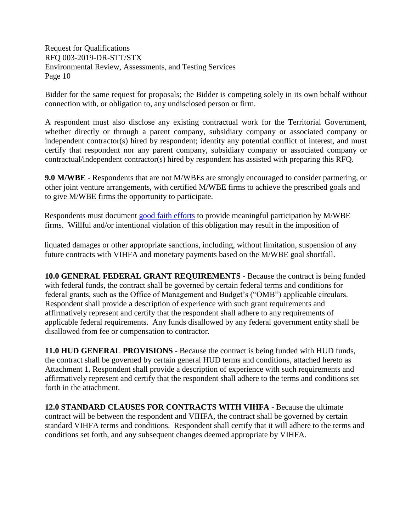Bidder for the same request for proposals; the Bidder is competing solely in its own behalf without connection with, or obligation to, any undisclosed person or firm.

A respondent must also disclose any existing contractual work for the Territorial Government, whether directly or through a parent company, subsidiary company or associated company or independent contractor(s) hired by respondent; identity any potential conflict of interest, and must certify that respondent nor any parent company, subsidiary company or associated company or contractual/independent contractor(s) hired by respondent has assisted with preparing this RFQ.

<span id="page-12-0"></span>**9.0 M/WBE** - Respondents that are not M/WBEs are strongly encouraged to consider partnering, or other joint venture arrangements, with certified M/WBE firms to achieve the prescribed goals and to give M/WBE firms the opportunity to participate.

Respondents must document [good faith efforts](http://www.ogs.ny.gov/BU/DC/Docs/PDF/GoodFaithEfforts143Point8.pdf) to provide meaningful participation by M/WBE firms. Willful and/or intentional violation of this obligation may result in the imposition of

liquated damages or other appropriate sanctions, including, without limitation, suspension of any future contracts with VIHFA and monetary payments based on the M/WBE goal shortfall.

<span id="page-12-1"></span>**10.0 GENERAL FEDERAL GRANT REQUIREMENTS -** Because the contract is being funded with federal funds, the contract shall be governed by certain federal terms and conditions for federal grants, such as the Office of Management and Budget's ("OMB") applicable circulars. Respondent shall provide a description of experience with such grant requirements and affirmatively represent and certify that the respondent shall adhere to any requirements of applicable federal requirements. Any funds disallowed by any federal government entity shall be disallowed from fee or compensation to contractor.

<span id="page-12-2"></span>**11.0 HUD GENERAL PROVISIONS** - Because the contract is being funded with HUD funds, the contract shall be governed by certain general HUD terms and conditions, attached hereto as Attachment 1. Respondent shall provide a description of experience with such requirements and affirmatively represent and certify that the respondent shall adhere to the terms and conditions set forth in the attachment.

<span id="page-12-3"></span>**12.0 STANDARD CLAUSES FOR CONTRACTS WITH VIHFA** - Because the ultimate contract will be between the respondent and VIHFA, the contract shall be governed by certain standard VIHFA terms and conditions. Respondent shall certify that it will adhere to the terms and conditions set forth, and any subsequent changes deemed appropriate by VIHFA.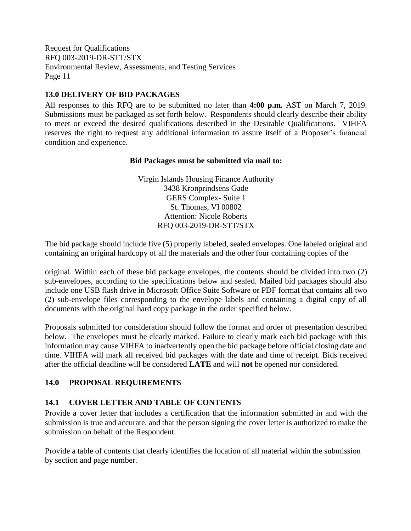## <span id="page-13-0"></span>**13.0 DELIVERY OF BID PACKAGES**

All responses to this RFQ are to be submitted no later than **4:00 p.m.** AST on March 7, 2019. Submissions must be packaged as set forth below. Respondents should clearly describe their ability to meet or exceed the desired qualifications described in the Desirable Qualifications. VIHFA reserves the right to request any additional information to assure itself of a Proposer's financial condition and experience.

## **Bid Packages must be submitted via mail to:**

Virgin Islands Housing Finance Authority 3438 Kronprindsens Gade GERS Complex- Suite 1 St. Thomas, VI 00802 Attention: Nicole Roberts RFQ 003-2019-DR-STT/STX

The bid package should include five (5) properly labeled, sealed envelopes. One labeled original and containing an original hardcopy of all the materials and the other four containing copies of the

original. Within each of these bid package envelopes, the contents should be divided into two (2) sub-envelopes, according to the specifications below and sealed. Mailed bid packages should also include one USB flash drive in Microsoft Office Suite Software or PDF format that contains all two (2) sub-envelope files corresponding to the envelope labels and containing a digital copy of all documents with the original hard copy package in the order specified below.

Proposals submitted for consideration should follow the format and order of presentation described below. The envelopes must be clearly marked. Failure to clearly mark each bid package with this information may cause VIHFA to inadvertently open the bid package before official closing date and time. VIHFA will mark all received bid packages with the date and time of receipt. Bids received after the official deadline will be considered **LATE** and will **not** be opened nor considered.

## <span id="page-13-1"></span>**14.0 PROPOSAL REQUIREMENTS**

## <span id="page-13-2"></span>**14.1 COVER LETTER AND TABLE OF CONTENTS**

Provide a cover letter that includes a certification that the information submitted in and with the submission is true and accurate, and that the person signing the cover letter is authorized to make the submission on behalf of the Respondent.

Provide a table of contents that clearly identifies the location of all material within the submission by section and page number.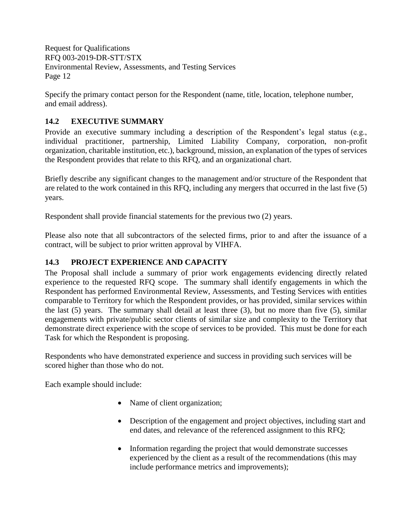Specify the primary contact person for the Respondent (name, title, location, telephone number, and email address).

## <span id="page-14-0"></span>**14.2 EXECUTIVE SUMMARY**

Provide an executive summary including a description of the Respondent's legal status (e.g., individual practitioner, partnership, Limited Liability Company, corporation, non-profit organization, charitable institution, etc.), background, mission, an explanation of the types of services the Respondent provides that relate to this RFQ, and an organizational chart.

Briefly describe any significant changes to the management and/or structure of the Respondent that are related to the work contained in this RFQ, including any mergers that occurred in the last five (5) years.

Respondent shall provide financial statements for the previous two (2) years.

Please also note that all subcontractors of the selected firms, prior to and after the issuance of a contract, will be subject to prior written approval by VIHFA.

## <span id="page-14-1"></span>**14.3 PROJECT EXPERIENCE AND CAPACITY**

The Proposal shall include a summary of prior work engagements evidencing directly related experience to the requested RFQ scope. The summary shall identify engagements in which the Respondent has performed Environmental Review, Assessments, and Testing Services with entities comparable to Territory for which the Respondent provides, or has provided, similar services within the last (5) years. The summary shall detail at least three (3), but no more than five (5), similar engagements with private/public sector clients of similar size and complexity to the Territory that demonstrate direct experience with the scope of services to be provided. This must be done for each Task for which the Respondent is proposing.

Respondents who have demonstrated experience and success in providing such services will be scored higher than those who do not.

Each example should include:

- Name of client organization;
- Description of the engagement and project objectives, including start and end dates, and relevance of the referenced assignment to this RFQ;
- Information regarding the project that would demonstrate successes experienced by the client as a result of the recommendations (this may include performance metrics and improvements);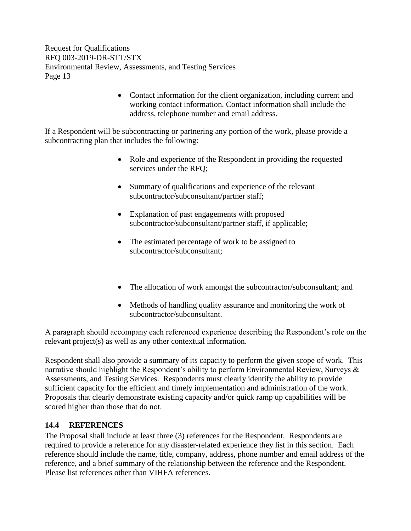> • Contact information for the client organization, including current and working contact information. Contact information shall include the address, telephone number and email address.

If a Respondent will be subcontracting or partnering any portion of the work, please provide a subcontracting plan that includes the following:

- Role and experience of the Respondent in providing the requested services under the RFQ;
- Summary of qualifications and experience of the relevant subcontractor/subconsultant/partner staff;
- Explanation of past engagements with proposed subcontractor/subconsultant/partner staff, if applicable;
- The estimated percentage of work to be assigned to subcontractor/subconsultant;
- The allocation of work amongst the subcontractor/subconsultant; and
- Methods of handling quality assurance and monitoring the work of subcontractor/subconsultant.

A paragraph should accompany each referenced experience describing the Respondent's role on the relevant project(s) as well as any other contextual information.

Respondent shall also provide a summary of its capacity to perform the given scope of work. This narrative should highlight the Respondent's ability to perform Environmental Review, Surveys & Assessments, and Testing Services. Respondents must clearly identify the ability to provide sufficient capacity for the efficient and timely implementation and administration of the work. Proposals that clearly demonstrate existing capacity and/or quick ramp up capabilities will be scored higher than those that do not.

## <span id="page-15-0"></span>**14.4 REFERENCES**

The Proposal shall include at least three (3) references for the Respondent. Respondents are required to provide a reference for any disaster-related experience they list in this section. Each reference should include the name, title, company, address, phone number and email address of the reference, and a brief summary of the relationship between the reference and the Respondent. Please list references other than VIHFA references.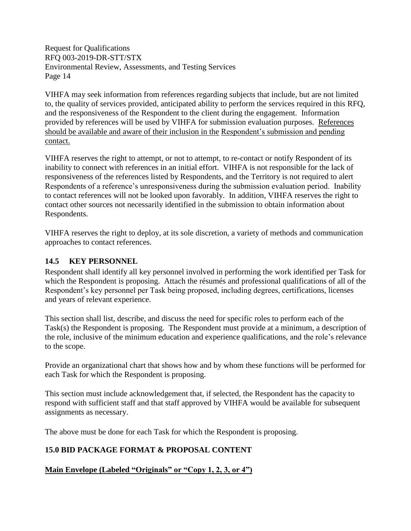VIHFA may seek information from references regarding subjects that include, but are not limited to, the quality of services provided, anticipated ability to perform the services required in this RFQ, and the responsiveness of the Respondent to the client during the engagement. Information provided by references will be used by VIHFA for submission evaluation purposes. References should be available and aware of their inclusion in the Respondent's submission and pending contact.

VIHFA reserves the right to attempt, or not to attempt, to re-contact or notify Respondent of its inability to connect with references in an initial effort. VIHFA is not responsible for the lack of responsiveness of the references listed by Respondents, and the Territory is not required to alert Respondents of a reference's unresponsiveness during the submission evaluation period. Inability to contact references will not be looked upon favorably. In addition, VIHFA reserves the right to contact other sources not necessarily identified in the submission to obtain information about Respondents.

VIHFA reserves the right to deploy, at its sole discretion, a variety of methods and communication approaches to contact references.

## <span id="page-16-0"></span>**14.5 KEY PERSONNEL**

Respondent shall identify all key personnel involved in performing the work identified per Task for which the Respondent is proposing.Attach the résumés and professional qualifications of all of the Respondent's key personnel per Task being proposed, including degrees, certifications, licenses and years of relevant experience.

This section shall list, describe, and discuss the need for specific roles to perform each of the Task(s) the Respondent is proposing. The Respondent must provide at a minimum, a description of the role, inclusive of the minimum education and experience qualifications, and the role's relevance to the scope.

Provide an organizational chart that shows how and by whom these functions will be performed for each Task for which the Respondent is proposing.

This section must include acknowledgement that, if selected, the Respondent has the capacity to respond with sufficient staff and that staff approved by VIHFA would be available for subsequent assignments as necessary.

The above must be done for each Task for which the Respondent is proposing.

## <span id="page-16-1"></span>**15.0 BID PACKAGE FORMAT & PROPOSAL CONTENT**

## **Main Envelope (Labeled "Originals" or "Copy 1, 2, 3, or 4")**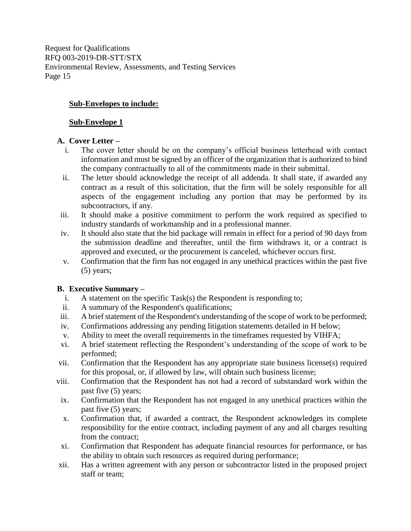## **Sub-Envelopes to include:**

#### **Sub-Envelope 1**

#### **A. Cover Letter –**

- i. The cover letter should be on the company's official business letterhead with contact information and must be signed by an officer of the organization that is authorized to bind the company contractually to all of the commitments made in their submittal.
- ii. The letter should acknowledge the receipt of all addenda. It shall state, if awarded any contract as a result of this solicitation, that the firm will be solely responsible for all aspects of the engagement including any portion that may be performed by its subcontractors, if any.
- iii. It should make a positive commitment to perform the work required as specified to industry standards of workmanship and in a professional manner.
- iv. It should also state that the bid package will remain in effect for a period of 90 days from the submission deadline and thereafter, until the firm withdraws it, or a contract is approved and executed, or the procurement is canceled, whichever occurs first.
- v. Confirmation that the firm has not engaged in any unethical practices within the past five (5) years;

#### **B. Executive Summary –**

- i. A statement on the specific Task(s) the Respondent is responding to;
- ii. A summary of the Respondent's qualifications;
- iii. A brief statement of the Respondent's understanding of the scope of work to be performed;
- iv. Confirmations addressing any pending litigation statements detailed in H below;
- v. Ability to meet the overall requirements in the timeframes requested by VIHFA;
- vi. A brief statement reflecting the Respondent's understanding of the scope of work to be performed;
- vii. Confirmation that the Respondent has any appropriate state business license(s) required for this proposal, or, if allowed by law, will obtain such business license;
- viii. Confirmation that the Respondent has not had a record of substandard work within the past five (5) years;
	- ix. Confirmation that the Respondent has not engaged in any unethical practices within the past five (5) years;
	- x. Confirmation that, if awarded a contract, the Respondent acknowledges its complete responsibility for the entire contract, including payment of any and all charges resulting from the contract;
	- xi. Confirmation that Respondent has adequate financial resources for performance, or has the ability to obtain such resources as required during performance;
- xii. Has a written agreement with any person or subcontractor listed in the proposed project staff or team;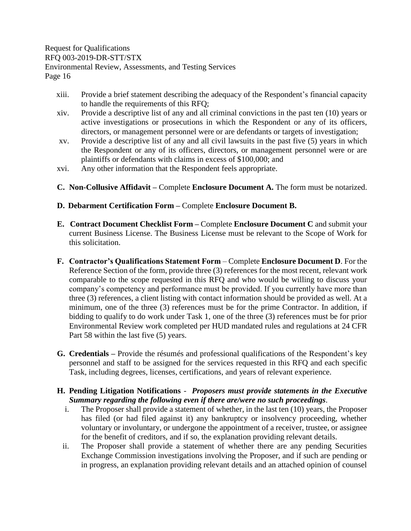- xiii. Provide a brief statement describing the adequacy of the Respondent's financial capacity to handle the requirements of this RFQ;
- xiv. Provide a descriptive list of any and all criminal convictions in the past ten (10) years or active investigations or prosecutions in which the Respondent or any of its officers, directors, or management personnel were or are defendants or targets of investigation;
- xv. Provide a descriptive list of any and all civil lawsuits in the past five (5) years in which the Respondent or any of its officers, directors, or management personnel were or are plaintiffs or defendants with claims in excess of \$100,000; and
- xvi. Any other information that the Respondent feels appropriate.
- **C. Non-Collusive Affidavit –** Complete **Enclosure Document A.** The form must be notarized.
- **D. Debarment Certification Form –** Complete **Enclosure Document B.**
- **E. Contract Document Checklist Form –** Complete **Enclosure Document C** and submit your current Business License. The Business License must be relevant to the Scope of Work for this solicitation.
- **F. Contractor's Qualifications Statement Form** Complete **Enclosure Document D**. For the Reference Section of the form, provide three (3) references for the most recent, relevant work comparable to the scope requested in this RFQ and who would be willing to discuss your company's competency and performance must be provided. If you currently have more than three (3) references, a client listing with contact information should be provided as well. At a minimum, one of the three (3) references must be for the prime Contractor. In addition, if bidding to qualify to do work under Task 1, one of the three (3) references must be for prior Environmental Review work completed per HUD mandated rules and regulations at 24 CFR Part 58 within the last five (5) years.
- **G. Credentials –** Provide the résumés and professional qualifications of the Respondent's key personnel and staff to be assigned for the services requested in this RFQ and each specific Task, including degrees, licenses, certifications, and years of relevant experience.

## **H. Pending Litigation Notifications** - *Proposers must provide statements in the Executive Summary regarding the following even if there are/were no such proceedings*.

- i. The Proposer shall provide a statement of whether, in the last ten (10) years, the Proposer has filed (or had filed against it) any bankruptcy or insolvency proceeding, whether voluntary or involuntary, or undergone the appointment of a receiver, trustee, or assignee for the benefit of creditors, and if so, the explanation providing relevant details.
- ii. The Proposer shall provide a statement of whether there are any pending Securities Exchange Commission investigations involving the Proposer, and if such are pending or in progress, an explanation providing relevant details and an attached opinion of counsel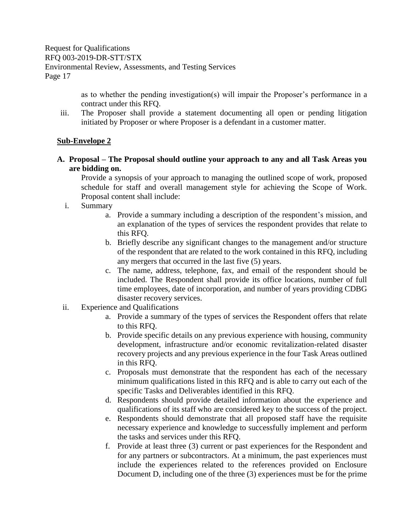> as to whether the pending investigation(s) will impair the Proposer's performance in a contract under this RFQ.

iii. The Proposer shall provide a statement documenting all open or pending litigation initiated by Proposer or where Proposer is a defendant in a customer matter.

## **Sub-Envelope 2**

**A. Proposal – The Proposal should outline your approach to any and all Task Areas you are bidding on.** 

Provide a synopsis of your approach to managing the outlined scope of work, proposed schedule for staff and overall management style for achieving the Scope of Work. Proposal content shall include:

- i. Summary
	- a. Provide a summary including a description of the respondent's mission, and an explanation of the types of services the respondent provides that relate to this RFQ.
	- b. Briefly describe any significant changes to the management and/or structure of the respondent that are related to the work contained in this RFQ, including any mergers that occurred in the last five (5) years.
	- c. The name, address, telephone, fax, and email of the respondent should be included. The Respondent shall provide its office locations, number of full time employees, date of incorporation, and number of years providing CDBG disaster recovery services.
- ii. Experience and Qualifications
	- a. Provide a summary of the types of services the Respondent offers that relate to this RFQ.
	- b. Provide specific details on any previous experience with housing, community development, infrastructure and/or economic revitalization-related disaster recovery projects and any previous experience in the four Task Areas outlined in this RFQ.
	- c. Proposals must demonstrate that the respondent has each of the necessary minimum qualifications listed in this RFQ and is able to carry out each of the specific Tasks and Deliverables identified in this RFQ.
	- d. Respondents should provide detailed information about the experience and qualifications of its staff who are considered key to the success of the project.
	- e. Respondents should demonstrate that all proposed staff have the requisite necessary experience and knowledge to successfully implement and perform the tasks and services under this RFQ.
	- f. Provide at least three (3) current or past experiences for the Respondent and for any partners or subcontractors. At a minimum, the past experiences must include the experiences related to the references provided on Enclosure Document D, including one of the three (3) experiences must be for the prime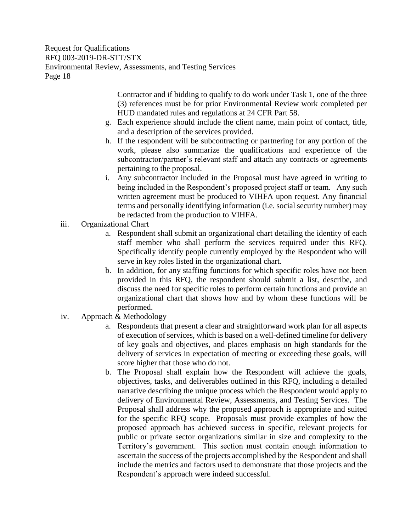> Contractor and if bidding to qualify to do work under Task 1, one of the three (3) references must be for prior Environmental Review work completed per HUD mandated rules and regulations at 24 CFR Part 58.

- g. Each experience should include the client name, main point of contact, title, and a description of the services provided.
- h. If the respondent will be subcontracting or partnering for any portion of the work, please also summarize the qualifications and experience of the subcontractor/partner's relevant staff and attach any contracts or agreements pertaining to the proposal.
- i. Any subcontractor included in the Proposal must have agreed in writing to being included in the Respondent's proposed project staff or team. Any such written agreement must be produced to VIHFA upon request. Any financial terms and personally identifying information (i.e. social security number) may be redacted from the production to VIHFA.
- iii. Organizational Chart
	- a. Respondent shall submit an organizational chart detailing the identity of each staff member who shall perform the services required under this RFQ. Specifically identify people currently employed by the Respondent who will serve in key roles listed in the organizational chart.
	- b. In addition, for any staffing functions for which specific roles have not been provided in this RFQ, the respondent should submit a list, describe, and discuss the need for specific roles to perform certain functions and provide an organizational chart that shows how and by whom these functions will be performed.
- iv. Approach & Methodology
	- a. Respondents that present a clear and straightforward work plan for all aspects of execution of services, which is based on a well-defined timeline for delivery of key goals and objectives, and places emphasis on high standards for the delivery of services in expectation of meeting or exceeding these goals, will score higher that those who do not.
	- b. The Proposal shall explain how the Respondent will achieve the goals, objectives, tasks, and deliverables outlined in this RFQ, including a detailed narrative describing the unique process which the Respondent would apply to delivery of Environmental Review, Assessments, and Testing Services. The Proposal shall address why the proposed approach is appropriate and suited for the specific RFQ scope. Proposals must provide examples of how the proposed approach has achieved success in specific, relevant projects for public or private sector organizations similar in size and complexity to the Territory's government. This section must contain enough information to ascertain the success of the projects accomplished by the Respondent and shall include the metrics and factors used to demonstrate that those projects and the Respondent's approach were indeed successful.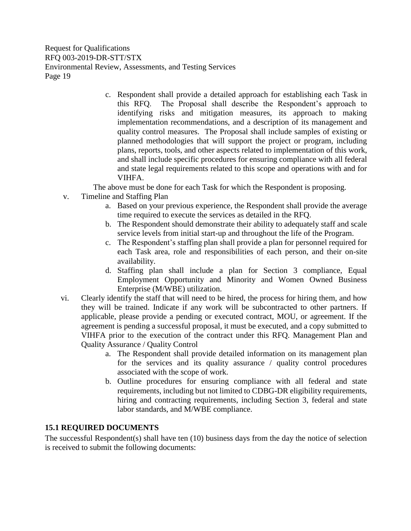> c. Respondent shall provide a detailed approach for establishing each Task in this RFQ. The Proposal shall describe the Respondent's approach to identifying risks and mitigation measures, its approach to making implementation recommendations, and a description of its management and quality control measures. The Proposal shall include samples of existing or planned methodologies that will support the project or program, including plans, reports, tools, and other aspects related to implementation of this work, and shall include specific procedures for ensuring compliance with all federal and state legal requirements related to this scope and operations with and for VIHFA.

The above must be done for each Task for which the Respondent is proposing.

- v. Timeline and Staffing Plan
	- a. Based on your previous experience, the Respondent shall provide the average time required to execute the services as detailed in the RFQ.
	- b. The Respondent should demonstrate their ability to adequately staff and scale service levels from initial start-up and throughout the life of the Program.
	- c. The Respondent's staffing plan shall provide a plan for personnel required for each Task area, role and responsibilities of each person, and their on-site availability.
	- d. Staffing plan shall include a plan for Section 3 compliance, Equal Employment Opportunity and Minority and Women Owned Business Enterprise (M/WBE) utilization.
- vi. Clearly identify the staff that will need to be hired, the process for hiring them, and how they will be trained. Indicate if any work will be subcontracted to other partners. If applicable, please provide a pending or executed contract, MOU, or agreement. If the agreement is pending a successful proposal, it must be executed, and a copy submitted to VIHFA prior to the execution of the contract under this RFQ. Management Plan and Quality Assurance / Quality Control
	- a. The Respondent shall provide detailed information on its management plan for the services and its quality assurance / quality control procedures associated with the scope of work.
	- b. Outline procedures for ensuring compliance with all federal and state requirements, including but not limited to CDBG-DR eligibility requirements, hiring and contracting requirements, including Section 3, federal and state labor standards, and M/WBE compliance.

## <span id="page-21-0"></span>**15.1 REQUIRED DOCUMENTS**

The successful Respondent(s) shall have ten (10) business days from the day the notice of selection is received to submit the following documents: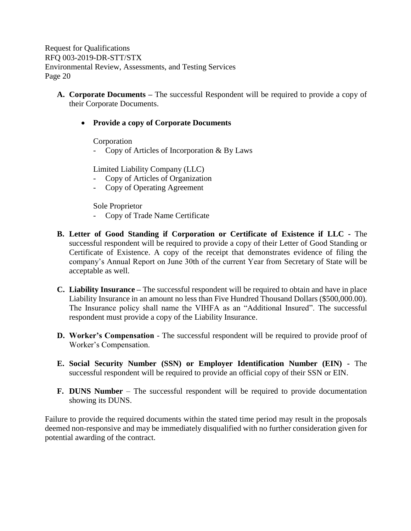**A. Corporate Documents –** The successful Respondent will be required to provide a copy of their Corporate Documents.

## • **Provide a copy of Corporate Documents**

Corporation

- Copy of Articles of Incorporation & By Laws

Limited Liability Company (LLC)

- Copy of Articles of Organization
- Copy of Operating Agreement

Sole Proprietor

- Copy of Trade Name Certificate
- **B. Letter of Good Standing if Corporation or Certificate of Existence if LLC -** The successful respondent will be required to provide a copy of their Letter of Good Standing or Certificate of Existence. A copy of the receipt that demonstrates evidence of filing the company's Annual Report on June 30th of the current Year from Secretary of State will be acceptable as well.
- **C. Liability Insurance –** The successful respondent will be required to obtain and have in place Liability Insurance in an amount no less than Five Hundred Thousand Dollars (\$500,000.00). The Insurance policy shall name the VIHFA as an "Additional Insured". The successful respondent must provide a copy of the Liability Insurance.
- **D. Worker's Compensation** The successful respondent will be required to provide proof of Worker's Compensation.
- **E. Social Security Number (SSN) or Employer Identification Number (EIN) -** The successful respondent will be required to provide an official copy of their SSN or EIN.
- **F. DUNS Number** The successful respondent will be required to provide documentation showing its DUNS.

Failure to provide the required documents within the stated time period may result in the proposals deemed non-responsive and may be immediately disqualified with no further consideration given for potential awarding of the contract.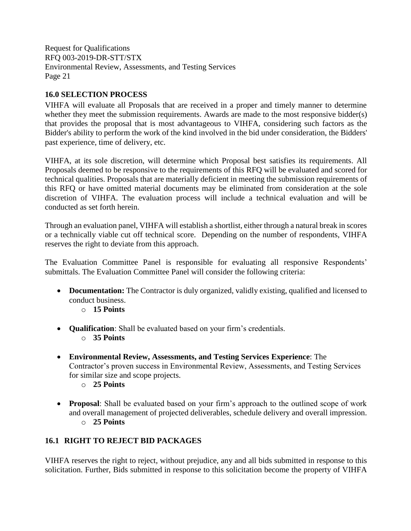## <span id="page-23-0"></span>**16.0 SELECTION PROCESS**

VIHFA will evaluate all Proposals that are received in a proper and timely manner to determine whether they meet the submission requirements. Awards are made to the most responsive bidder(s) that provides the proposal that is most advantageous to VIHFA, considering such factors as the Bidder's ability to perform the work of the kind involved in the bid under consideration, the Bidders' past experience, time of delivery, etc.

VIHFA, at its sole discretion, will determine which Proposal best satisfies its requirements. All Proposals deemed to be responsive to the requirements of this RFQ will be evaluated and scored for technical qualities. Proposals that are materially deficient in meeting the submission requirements of this RFQ or have omitted material documents may be eliminated from consideration at the sole discretion of VIHFA. The evaluation process will include a technical evaluation and will be conducted as set forth herein.

Through an evaluation panel, VIHFA will establish a shortlist, either through a natural break in scores or a technically viable cut off technical score. Depending on the number of respondents, VIHFA reserves the right to deviate from this approach.

The Evaluation Committee Panel is responsible for evaluating all responsive Respondents' submittals. The Evaluation Committee Panel will consider the following criteria:

- **Documentation:** The Contractor is duly organized, validly existing, qualified and licensed to conduct business.
	- o **15 Points**
- **Qualification**: Shall be evaluated based on your firm's credentials.
	- o **35 Points**
- **Environmental Review, Assessments, and Testing Services Experience**: The Contractor's proven success in Environmental Review, Assessments, and Testing Services for similar size and scope projects.
	- o **25 Points**
- **Proposal**: Shall be evaluated based on your firm's approach to the outlined scope of work and overall management of projected deliverables, schedule delivery and overall impression. o **25 Points**

## <span id="page-23-1"></span>**16.1 RIGHT TO REJECT BID PACKAGES**

VIHFA reserves the right to reject, without prejudice, any and all bids submitted in response to this solicitation. Further, Bids submitted in response to this solicitation become the property of VIHFA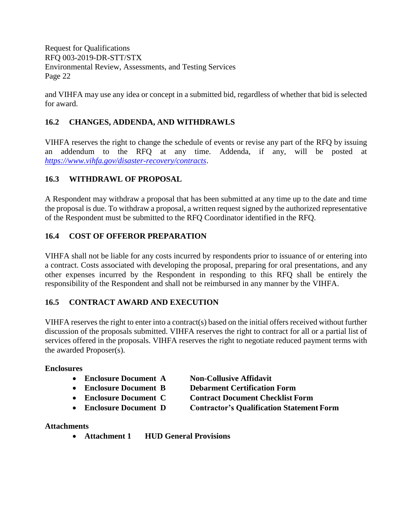and VIHFA may use any idea or concept in a submitted bid, regardless of whether that bid is selected for award.

## <span id="page-24-0"></span>**16.2 CHANGES, ADDENDA, AND WITHDRAWLS**

VIHFA reserves the right to change the schedule of events or revise any part of the RFQ by issuing an addendum to the RFQ at any time. Addenda, if any, will be posted at *<https://www.vihfa.gov/disaster-recovery/contracts>*.

## <span id="page-24-1"></span>**16.3 WITHDRAWL OF PROPOSAL**

A Respondent may withdraw a proposal that has been submitted at any time up to the date and time the proposal is due. To withdraw a proposal, a written request signed by the authorized representative of the Respondent must be submitted to the RFQ Coordinator identified in the RFQ.

## <span id="page-24-2"></span>**16.4 COST OF OFFEROR PREPARATION**

VIHFA shall not be liable for any costs incurred by respondents prior to issuance of or entering into a contract. Costs associated with developing the proposal, preparing for oral presentations, and any other expenses incurred by the Respondent in responding to this RFQ shall be entirely the responsibility of the Respondent and shall not be reimbursed in any manner by the VIHFA.

## <span id="page-24-3"></span>**16.5 CONTRACT AWARD AND EXECUTION**

VIHFA reserves the right to enter into a contract(s) based on the initial offers received without further discussion of the proposals submitted. VIHFA reserves the right to contract for all or a partial list of services offered in the proposals. VIHFA reserves the right to negotiate reduced payment terms with the awarded Proposer(s).

#### **Enclosures**

- **Enclosure Document A Non-Collusive Affidavit**
- 
- 
- 
- 
- **Enclosure Document B Debarment Certification Form**
- **Enclosure Document C Contract Document Checklist Form**
- **Enclosure Document D Contractor's Qualification Statement Form**

## **Attachments**

• **Attachment 1 HUD General Provisions**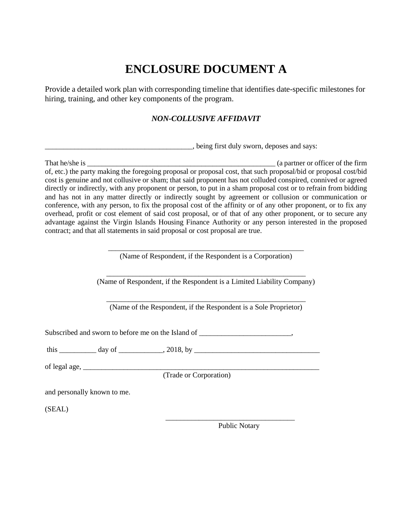# **ENCLOSURE DOCUMENT A**

<span id="page-25-0"></span>Provide a detailed work plan with corresponding timeline that identifies date-specific milestones for hiring, training, and other key components of the program.

## *NON-COLLUSIVE AFFIDAVIT*

\_\_\_\_\_\_\_\_\_\_\_\_\_\_\_\_\_\_\_\_\_\_\_\_\_\_\_\_\_\_\_\_\_\_\_\_\_\_\_\_, being first duly sworn, deposes and says:

That he/she is  $\qquad \qquad$  (a partner or officer of the firm of, etc.) the party making the foregoing proposal or proposal cost, that such proposal/bid or proposal cost/bid cost is genuine and not collusive or sham; that said proponent has not colluded conspired, connived or agreed directly or indirectly, with any proponent or person, to put in a sham proposal cost or to refrain from bidding and has not in any matter directly or indirectly sought by agreement or collusion or communication or conference, with any person, to fix the proposal cost of the affinity or of any other proponent, or to fix any overhead, profit or cost element of said cost proposal, or of that of any other proponent, or to secure any advantage against the Virgin Islands Housing Finance Authority or any person interested in the proposed contract; and that all statements in said proposal or cost proposal are true.

> \_\_\_\_\_\_\_\_\_\_\_\_\_\_\_\_\_\_\_\_\_\_\_\_\_\_\_\_\_\_\_\_\_\_\_\_\_\_\_\_\_\_\_\_\_\_\_\_\_\_\_\_\_ (Name of Respondent, if the Respondent is a Corporation)

\_\_\_\_\_\_\_\_\_\_\_\_\_\_\_\_\_\_\_\_\_\_\_\_\_\_\_\_\_\_\_\_\_\_\_\_\_\_\_\_\_\_\_\_\_\_\_\_\_\_\_\_\_\_ (Name of Respondent, if the Respondent is a Limited Liability Company)

\_\_\_\_\_\_\_\_\_\_\_\_\_\_\_\_\_\_\_\_\_\_\_\_\_\_\_\_\_\_\_\_\_\_\_\_\_\_\_\_\_\_\_\_\_\_\_\_\_\_\_\_\_\_ (Name of the Respondent, if the Respondent is a Sole Proprietor)

Subscribed and sworn to before me on the Island of \_\_\_\_\_\_\_\_\_\_\_\_\_\_\_\_\_\_\_\_\_\_\_\_\_\_\_\_\_,

this \_\_\_\_\_\_\_\_\_\_ day of \_\_\_\_\_\_\_\_\_\_\_\_, 2018, by \_\_\_\_\_\_\_\_\_\_\_\_\_\_\_\_\_\_\_\_\_\_\_\_\_\_\_\_\_\_\_\_\_\_

of legal age, \_\_\_\_\_\_\_\_\_\_\_\_\_\_\_\_\_\_\_\_\_\_\_\_\_\_\_\_\_\_\_\_\_\_\_\_\_\_\_\_\_\_\_\_\_\_\_\_\_\_\_\_\_\_\_\_\_\_\_\_\_\_\_\_

(Trade or Corporation)

and personally known to me.

(SEAL)

Public Notary

\_\_\_\_\_\_\_\_\_\_\_\_\_\_\_\_\_\_\_\_\_\_\_\_\_\_\_\_\_\_\_\_\_\_\_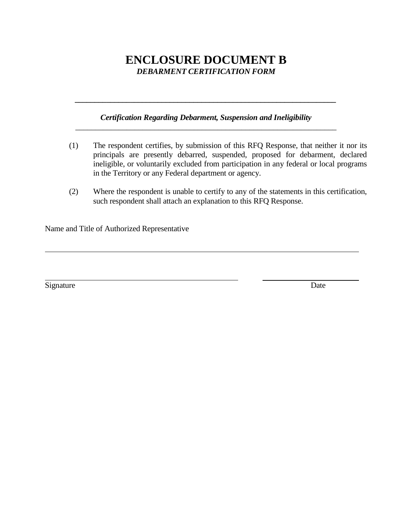## **ENCLOSURE DOCUMENT B** *DEBARMENT CERTIFICATION FORM*

#### *Certification Regarding Debarment, Suspension and Ineligibility \_\_\_\_\_\_\_\_\_\_\_\_\_\_\_\_\_\_\_\_\_\_\_\_\_\_\_\_\_\_\_\_\_\_\_\_\_\_\_\_\_\_\_\_\_\_\_\_\_\_\_\_\_\_\_\_\_\_\_\_\_\_\_\_\_\_*

<span id="page-26-0"></span>*\_\_\_\_\_\_\_\_\_\_\_\_\_\_\_\_\_\_\_\_\_\_\_\_\_\_\_\_\_\_\_\_\_\_\_\_\_\_\_\_\_\_\_\_\_\_\_\_\_\_\_\_\_\_\_\_\_\_\_\_\_\_\_\_\_\_*

- (1) The respondent certifies, by submission of this RFQ Response, that neither it nor its principals are presently debarred, suspended, proposed for debarment, declared ineligible, or voluntarily excluded from participation in any federal or local programs in the Territory or any Federal department or agency.
- (2) Where the respondent is unable to certify to any of the statements in this certification, such respondent shall attach an explanation to this RFQ Response.

Name and Title of Authorized Representative

Signature Date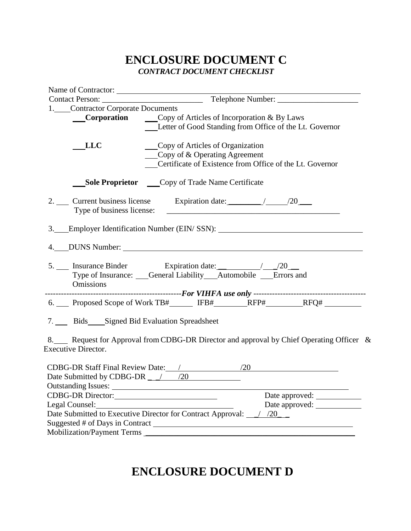## **ENCLOSURE DOCUMENT C** *CONTRACT DOCUMENT CHECKLIST*

<span id="page-27-0"></span>

| Name of Contractor:                                                                                               |                                                                      |                                                          |                                                                                         |  |
|-------------------------------------------------------------------------------------------------------------------|----------------------------------------------------------------------|----------------------------------------------------------|-----------------------------------------------------------------------------------------|--|
|                                                                                                                   |                                                                      |                                                          |                                                                                         |  |
| 1. Contractor Corporate Documents<br><b>Corporation</b> Copy of Articles of Incorporation & By Laws<br><b>LLC</b> | Copy of Articles of Organization<br>Copy of $\&$ Operating Agreement | Certificate of Existence from Office of the Lt. Governor | Letter of Good Standing from Office of the Lt. Governor                                 |  |
| <b>Sole Proprietor</b> _____Copy of Trade Name Certificate                                                        |                                                                      |                                                          |                                                                                         |  |
| 2. Current business license Expiration date: 100 100<br>Type of business license:                                 |                                                                      |                                                          |                                                                                         |  |
| 3. Employer Identification Number (EIN/SSN):                                                                      |                                                                      |                                                          |                                                                                         |  |
|                                                                                                                   |                                                                      |                                                          |                                                                                         |  |
| Type of Insurance: Ceneral Liability Automobile Errors and<br><b>Omissions</b>                                    |                                                                      |                                                          |                                                                                         |  |
|                                                                                                                   |                                                                      |                                                          | 6. Proposed Scope of Work TB#______ IFB#________RFP#_________RFQ# ______________        |  |
| 7. Bids Signed Bid Evaluation Spreadsheet                                                                         |                                                                      |                                                          |                                                                                         |  |
| <b>Executive Director.</b>                                                                                        |                                                                      |                                                          | 8. Request for Approval from CDBG-DR Director and approval by Chief Operating Officer & |  |
| CDBG-DR Staff Final Review Date: /<br>Date Submitted by CDBG-DR $\frac{\ }{\ }$ /20                               |                                                                      | /20                                                      |                                                                                         |  |
|                                                                                                                   |                                                                      |                                                          |                                                                                         |  |
| Legal Counsel:                                                                                                    |                                                                      |                                                          | Date approved:                                                                          |  |
| Date Submitted to Executive Director for Contract Approval: 1/20                                                  |                                                                      |                                                          |                                                                                         |  |
|                                                                                                                   |                                                                      |                                                          |                                                                                         |  |
|                                                                                                                   |                                                                      |                                                          |                                                                                         |  |

**ENCLOSURE DOCUMENT D**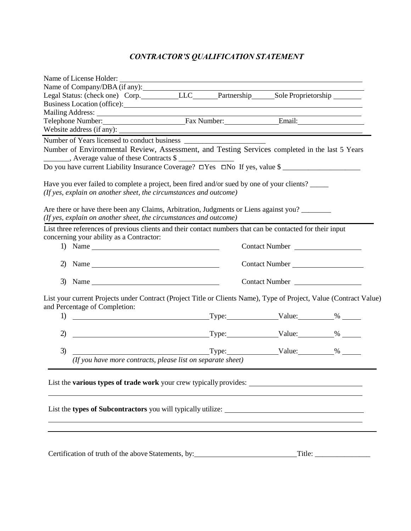## <span id="page-28-0"></span>*CONTRACTOR'S QUALIFICATION STATEMENT*

|              | Name of License Holder:                                                                                                                                                                                                                                                                                                                                                                                                                                                |  |                       |  |
|--------------|------------------------------------------------------------------------------------------------------------------------------------------------------------------------------------------------------------------------------------------------------------------------------------------------------------------------------------------------------------------------------------------------------------------------------------------------------------------------|--|-----------------------|--|
|              | Name of Company/DBA (if any):                                                                                                                                                                                                                                                                                                                                                                                                                                          |  |                       |  |
|              | Legal Status: (check one) Corp. LLC____Partnership____Sole Proprietorship                                                                                                                                                                                                                                                                                                                                                                                              |  |                       |  |
|              | Business Location (office):                                                                                                                                                                                                                                                                                                                                                                                                                                            |  |                       |  |
|              |                                                                                                                                                                                                                                                                                                                                                                                                                                                                        |  |                       |  |
|              | Telephone Number: Fax Number: Email: Email:                                                                                                                                                                                                                                                                                                                                                                                                                            |  |                       |  |
|              |                                                                                                                                                                                                                                                                                                                                                                                                                                                                        |  |                       |  |
|              |                                                                                                                                                                                                                                                                                                                                                                                                                                                                        |  |                       |  |
|              | Number of Environmental Review, Assessment, and Testing Services completed in the last 5 Years                                                                                                                                                                                                                                                                                                                                                                         |  |                       |  |
|              | ________, Average value of these Contracts \$                                                                                                                                                                                                                                                                                                                                                                                                                          |  |                       |  |
|              | Do you have current Liability Insurance Coverage? □Yes □No If yes, value \$                                                                                                                                                                                                                                                                                                                                                                                            |  |                       |  |
|              |                                                                                                                                                                                                                                                                                                                                                                                                                                                                        |  |                       |  |
|              | Have you ever failed to complete a project, been fired and/or sued by one of your clients?                                                                                                                                                                                                                                                                                                                                                                             |  |                       |  |
|              | (If yes, explain on another sheet, the circumstances and outcome)                                                                                                                                                                                                                                                                                                                                                                                                      |  |                       |  |
|              |                                                                                                                                                                                                                                                                                                                                                                                                                                                                        |  |                       |  |
|              | Are there or have there been any Claims, Arbitration, Judgments or Liens against you?                                                                                                                                                                                                                                                                                                                                                                                  |  |                       |  |
|              | (If yes, explain on another sheet, the circumstances and outcome)                                                                                                                                                                                                                                                                                                                                                                                                      |  |                       |  |
|              | List three references of previous clients and their contact numbers that can be contacted for their input                                                                                                                                                                                                                                                                                                                                                              |  |                       |  |
|              | concerning your ability as a Contractor:                                                                                                                                                                                                                                                                                                                                                                                                                               |  |                       |  |
|              | 1) Name $\frac{1}{\sqrt{1-\frac{1}{2}}\sqrt{1-\frac{1}{2}}\left(\frac{1}{2}-\frac{1}{2}\right)}$                                                                                                                                                                                                                                                                                                                                                                       |  | Contact Number        |  |
|              |                                                                                                                                                                                                                                                                                                                                                                                                                                                                        |  |                       |  |
|              | 2) Name $\frac{1}{2}$                                                                                                                                                                                                                                                                                                                                                                                                                                                  |  | <b>Contact Number</b> |  |
|              |                                                                                                                                                                                                                                                                                                                                                                                                                                                                        |  |                       |  |
|              | 3) Name $\frac{1}{\sqrt{1-\frac{1}{2}}}\left\{\cos \left(\frac{1}{2} \cos \left(\frac{1}{2} \cos \left(\frac{1}{2} \cos \left(\frac{1}{2} \cos \left(\frac{1}{2} \cos \left(\frac{1}{2} \cos \left(\frac{1}{2} \cos \left(\frac{1}{2} \cos \left(\frac{1}{2} \cos \left(\frac{1}{2} \cos \left(\frac{1}{2} \cos \left(\frac{1}{2} \cos \left(\frac{1}{2} \cos \left(\frac{1}{2} \cos \left(\frac{1}{2} \cos \left(\frac{1}{2} \cos \left(\frac{1}{2} \cos \left(\frac$ |  | Contact Number        |  |
|              |                                                                                                                                                                                                                                                                                                                                                                                                                                                                        |  |                       |  |
|              | List your current Projects under Contract (Project Title or Clients Name), Type of Project, Value (Contract Value)                                                                                                                                                                                                                                                                                                                                                     |  |                       |  |
|              | and Percentage of Completion:                                                                                                                                                                                                                                                                                                                                                                                                                                          |  |                       |  |
| 1)           | Type: Value: 34 Maintenance 34 Maintenance 34 Maintenance 34 Maintenance 34 Maintenance 34 Maintenance 34 Maintenance 34 Maintenance 34 Maintenance 34 Maintenance 34 Maintenance 34 Maintenance 34 Maintenance 34 Maintenance                                                                                                                                                                                                                                         |  |                       |  |
|              |                                                                                                                                                                                                                                                                                                                                                                                                                                                                        |  |                       |  |
| $\mathbf{2}$ | $\begin{array}{c c} \hline \text{Type:} & \text{Value:} & \text{\textdegree}\end{array}$                                                                                                                                                                                                                                                                                                                                                                               |  |                       |  |
|              |                                                                                                                                                                                                                                                                                                                                                                                                                                                                        |  |                       |  |
| 3)           |                                                                                                                                                                                                                                                                                                                                                                                                                                                                        |  |                       |  |
|              | (If you have more contracts, please list on separate sheet)                                                                                                                                                                                                                                                                                                                                                                                                            |  |                       |  |
|              |                                                                                                                                                                                                                                                                                                                                                                                                                                                                        |  |                       |  |
|              | List the various types of trade work your crew typically provides: _________________________________                                                                                                                                                                                                                                                                                                                                                                   |  |                       |  |
|              |                                                                                                                                                                                                                                                                                                                                                                                                                                                                        |  |                       |  |
|              |                                                                                                                                                                                                                                                                                                                                                                                                                                                                        |  |                       |  |
|              |                                                                                                                                                                                                                                                                                                                                                                                                                                                                        |  |                       |  |
|              |                                                                                                                                                                                                                                                                                                                                                                                                                                                                        |  |                       |  |
|              |                                                                                                                                                                                                                                                                                                                                                                                                                                                                        |  |                       |  |
|              |                                                                                                                                                                                                                                                                                                                                                                                                                                                                        |  |                       |  |
|              |                                                                                                                                                                                                                                                                                                                                                                                                                                                                        |  |                       |  |
|              | Certification of truth of the above Statements, by:                                                                                                                                                                                                                                                                                                                                                                                                                    |  |                       |  |
|              |                                                                                                                                                                                                                                                                                                                                                                                                                                                                        |  |                       |  |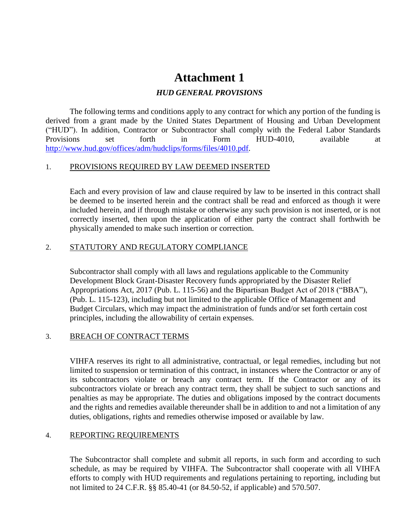## **Attachment 1**

### *HUD GENERAL PROVISIONS*

<span id="page-29-0"></span>The following terms and conditions apply to any contract for which any portion of the funding is derived from a grant made by the United States Department of Housing and Urban Development ("HUD"). In addition, Contractor or Subcontractor shall comply with the Federal Labor Standards Provisions set forth in Form HUD-4010, available at [http://www.hud.gov/offices/adm/hudclips/forms/files/4010.pdf.](http://www.hud.gov/offices/adm/hudclips/forms/files/4010.pdf)

#### 1. PROVISIONS REQUIRED BY LAW DEEMED INSERTED

Each and every provision of law and clause required by law to be inserted in this contract shall be deemed to be inserted herein and the contract shall be read and enforced as though it were included herein, and if through mistake or otherwise any such provision is not inserted, or is not correctly inserted, then upon the application of either party the contract shall forthwith be physically amended to make such insertion or correction.

#### 2. STATUTORY AND REGULATORY COMPLIANCE

Subcontractor shall comply with all laws and regulations applicable to the Community Development Block Grant-Disaster Recovery funds appropriated by the Disaster Relief Appropriations Act, 2017 (Pub. L. 115-56) and the Bipartisan Budget Act of 2018 ("BBA"), (Pub. L. 115-123), including but not limited to the applicable Office of Management and Budget Circulars, which may impact the administration of funds and/or set forth certain cost principles, including the allowability of certain expenses.

## 3. BREACH OF CONTRACT TERMS

VIHFA reserves its right to all administrative, contractual, or legal remedies, including but not limited to suspension or termination of this contract, in instances where the Contractor or any of its subcontractors violate or breach any contract term. If the Contractor or any of its subcontractors violate or breach any contract term, they shall be subject to such sanctions and penalties as may be appropriate. The duties and obligations imposed by the contract documents and the rights and remedies available thereunder shall be in addition to and not a limitation of any duties, obligations, rights and remedies otherwise imposed or available by law.

## 4. REPORTING REQUIREMENTS

The Subcontractor shall complete and submit all reports, in such form and according to such schedule, as may be required by VIHFA. The Subcontractor shall cooperate with all VIHFA efforts to comply with HUD requirements and regulations pertaining to reporting, including but not limited to 24 C.F.R. §§ 85.40-41 (or 84.50-52, if applicable) and 570.507.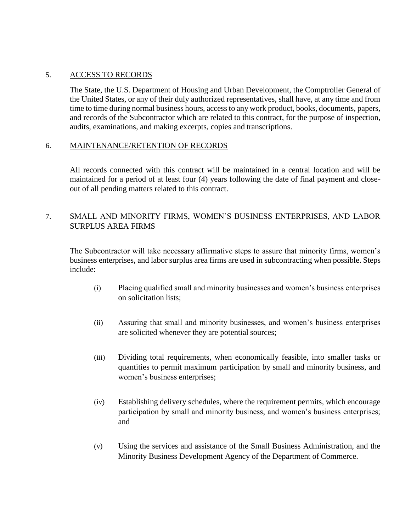#### 5. ACCESS TO RECORDS

The State, the U.S. Department of Housing and Urban Development, the Comptroller General of the United States, or any of their duly authorized representatives, shall have, at any time and from time to time during normal business hours, access to any work product, books, documents, papers, and records of the Subcontractor which are related to this contract, for the purpose of inspection, audits, examinations, and making excerpts, copies and transcriptions.

#### 6. MAINTENANCE/RETENTION OF RECORDS

All records connected with this contract will be maintained in a central location and will be maintained for a period of at least four (4) years following the date of final payment and closeout of all pending matters related to this contract.

## 7. SMALL AND MINORITY FIRMS, WOMEN'S BUSINESS ENTERPRISES, AND LABOR SURPLUS AREA FIRMS

The Subcontractor will take necessary affirmative steps to assure that minority firms, women's business enterprises, and labor surplus area firms are used in subcontracting when possible. Steps include:

- (i) Placing qualified small and minority businesses and women's business enterprises on solicitation lists;
- (ii) Assuring that small and minority businesses, and women's business enterprises are solicited whenever they are potential sources;
- (iii) Dividing total requirements, when economically feasible, into smaller tasks or quantities to permit maximum participation by small and minority business, and women's business enterprises;
- (iv) Establishing delivery schedules, where the requirement permits, which encourage participation by small and minority business, and women's business enterprises; and
- (v) Using the services and assistance of the Small Business Administration, and the Minority Business Development Agency of the Department of Commerce.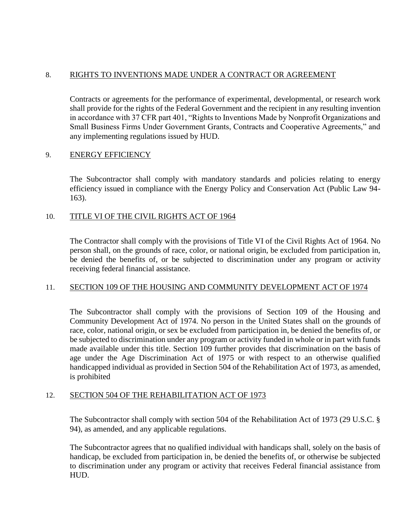#### 8. RIGHTS TO INVENTIONS MADE UNDER A CONTRACT OR AGREEMENT

Contracts or agreements for the performance of experimental, developmental, or research work shall provide for the rights of the Federal Government and the recipient in any resulting invention in accordance with 37 CFR part 401, "Rights to Inventions Made by Nonprofit Organizations and Small Business Firms Under Government Grants, Contracts and Cooperative Agreements," and any implementing regulations issued by HUD.

#### 9. ENERGY EFFICIENCY

The Subcontractor shall comply with mandatory standards and policies relating to energy efficiency issued in compliance with the Energy Policy and Conservation Act (Public Law 94- 163).

#### 10. TITLE VI OF THE CIVIL RIGHTS ACT OF 1964

The Contractor shall comply with the provisions of Title VI of the Civil Rights Act of 1964. No person shall, on the grounds of race, color, or national origin, be excluded from participation in, be denied the benefits of, or be subjected to discrimination under any program or activity receiving federal financial assistance.

#### 11. SECTION 109 OF THE HOUSING AND COMMUNITY DEVELOPMENT ACT OF 1974

The Subcontractor shall comply with the provisions of Section 109 of the Housing and Community Development Act of 1974. No person in the United States shall on the grounds of race, color, national origin, or sex be excluded from participation in, be denied the benefits of, or be subjected to discrimination under any program or activity funded in whole or in part with funds made available under this title. Section 109 further provides that discrimination on the basis of age under the Age Discrimination Act of 1975 or with respect to an otherwise qualified handicapped individual as provided in Section 504 of the Rehabilitation Act of 1973, as amended, is prohibited

#### 12. SECTION 504 OF THE REHABILITATION ACT OF 1973

The Subcontractor shall comply with section 504 of the Rehabilitation Act of 1973 (29 U.S.C. § 94), as amended, and any applicable regulations.

The Subcontractor agrees that no qualified individual with handicaps shall, solely on the basis of handicap, be excluded from participation in, be denied the benefits of, or otherwise be subjected to discrimination under any program or activity that receives Federal financial assistance from HUD.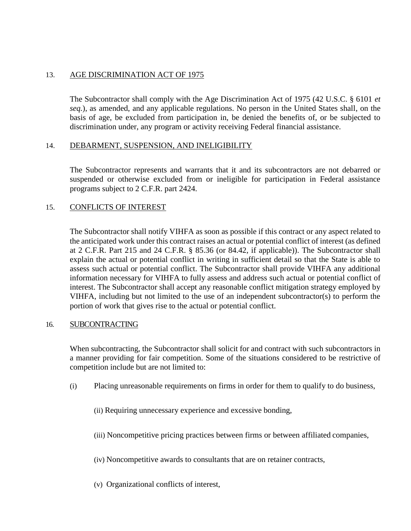#### 13. AGE DISCRIMINATION ACT OF 1975

The Subcontractor shall comply with the Age Discrimination Act of 1975 (42 U.S.C. § 6101 *et seq.*), as amended, and any applicable regulations. No person in the United States shall, on the basis of age, be excluded from participation in, be denied the benefits of, or be subjected to discrimination under, any program or activity receiving Federal financial assistance.

#### 14. DEBARMENT, SUSPENSION, AND INELIGIBILITY

The Subcontractor represents and warrants that it and its subcontractors are not debarred or suspended or otherwise excluded from or ineligible for participation in Federal assistance programs subject to 2 C.F.R. part 2424.

#### 15. CONFLICTS OF INTEREST

The Subcontractor shall notify VIHFA as soon as possible if this contract or any aspect related to the anticipated work under this contract raises an actual or potential conflict of interest (as defined at 2 C.F.R. Part 215 and 24 C.F.R. § 85.36 (or 84.42, if applicable)). The Subcontractor shall explain the actual or potential conflict in writing in sufficient detail so that the State is able to assess such actual or potential conflict. The Subcontractor shall provide VIHFA any additional information necessary for VIHFA to fully assess and address such actual or potential conflict of interest. The Subcontractor shall accept any reasonable conflict mitigation strategy employed by VIHFA, including but not limited to the use of an independent subcontractor(s) to perform the portion of work that gives rise to the actual or potential conflict.

#### 16. SUBCONTRACTING

When subcontracting, the Subcontractor shall solicit for and contract with such subcontractors in a manner providing for fair competition. Some of the situations considered to be restrictive of competition include but are not limited to:

- (i) Placing unreasonable requirements on firms in order for them to qualify to do business,
	- (ii) Requiring unnecessary experience and excessive bonding,
	- (iii) Noncompetitive pricing practices between firms or between affiliated companies,
	- (iv) Noncompetitive awards to consultants that are on retainer contracts,
	- (v) Organizational conflicts of interest,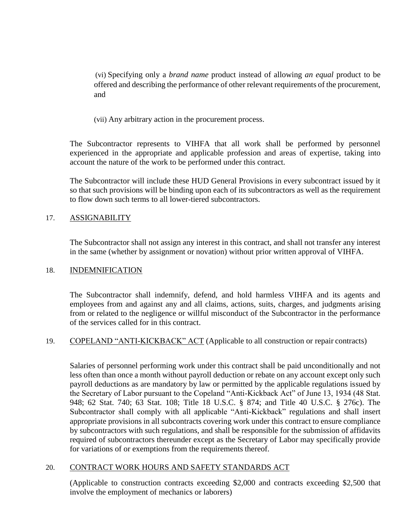(vi) Specifying only a *brand name* product instead of allowing *an equal* product to be offered and describing the performance of other relevant requirements of the procurement, and

(vii) Any arbitrary action in the procurement process.

The Subcontractor represents to VIHFA that all work shall be performed by personnel experienced in the appropriate and applicable profession and areas of expertise, taking into account the nature of the work to be performed under this contract.

The Subcontractor will include these HUD General Provisions in every subcontract issued by it so that such provisions will be binding upon each of its subcontractors as well as the requirement to flow down such terms to all lower-tiered subcontractors.

#### 17. ASSIGNABILITY

The Subcontractor shall not assign any interest in this contract, and shall not transfer any interest in the same (whether by assignment or novation) without prior written approval of VIHFA.

#### 18. INDEMNIFICATION

The Subcontractor shall indemnify, defend, and hold harmless VIHFA and its agents and employees from and against any and all claims, actions, suits, charges, and judgments arising from or related to the negligence or willful misconduct of the Subcontractor in the performance of the services called for in this contract.

## 19. COPELAND "ANTI-KICKBACK" ACT (Applicable to all construction or repair contracts)

Salaries of personnel performing work under this contract shall be paid unconditionally and not less often than once a month without payroll deduction or rebate on any account except only such payroll deductions as are mandatory by law or permitted by the applicable regulations issued by the Secretary of Labor pursuant to the Copeland "Anti-Kickback Act" of June 13, 1934 (48 Stat. 948; 62 Stat. 740; 63 Stat. 108; Title 18 U.S.C. § 874; and Title 40 U.S.C. § 276c). The Subcontractor shall comply with all applicable "Anti-Kickback" regulations and shall insert appropriate provisions in all subcontracts covering work under this contract to ensure compliance by subcontractors with such regulations, and shall be responsible for the submission of affidavits required of subcontractors thereunder except as the Secretary of Labor may specifically provide for variations of or exemptions from the requirements thereof.

#### 20. CONTRACT WORK HOURS AND SAFETY STANDARDS ACT

(Applicable to construction contracts exceeding \$2,000 and contracts exceeding \$2,500 that involve the employment of mechanics or laborers)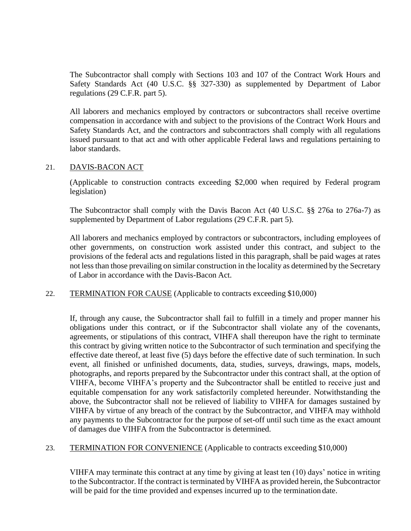The Subcontractor shall comply with Sections 103 and 107 of the Contract Work Hours and Safety Standards Act (40 U.S.C. §§ 327-330) as supplemented by Department of Labor regulations (29 C.F.R. part 5).

All laborers and mechanics employed by contractors or subcontractors shall receive overtime compensation in accordance with and subject to the provisions of the Contract Work Hours and Safety Standards Act, and the contractors and subcontractors shall comply with all regulations issued pursuant to that act and with other applicable Federal laws and regulations pertaining to labor standards.

#### 21. DAVIS-BACON ACT

(Applicable to construction contracts exceeding \$2,000 when required by Federal program legislation)

The Subcontractor shall comply with the Davis Bacon Act (40 U.S.C. §§ 276a to 276a-7) as supplemented by Department of Labor regulations (29 C.F.R. part 5).

All laborers and mechanics employed by contractors or subcontractors, including employees of other governments, on construction work assisted under this contract, and subject to the provisions of the federal acts and regulations listed in this paragraph, shall be paid wages at rates not less than those prevailing on similar construction in the locality as determined by the Secretary of Labor in accordance with the Davis-Bacon Act.

22. TERMINATION FOR CAUSE (Applicable to contracts exceeding \$10,000)

If, through any cause, the Subcontractor shall fail to fulfill in a timely and proper manner his obligations under this contract, or if the Subcontractor shall violate any of the covenants, agreements, or stipulations of this contract, VIHFA shall thereupon have the right to terminate this contract by giving written notice to the Subcontractor of such termination and specifying the effective date thereof, at least five (5) days before the effective date of such termination. In such event, all finished or unfinished documents, data, studies, surveys, drawings, maps, models, photographs, and reports prepared by the Subcontractor under this contract shall, at the option of VIHFA, become VIHFA's property and the Subcontractor shall be entitled to receive just and equitable compensation for any work satisfactorily completed hereunder. Notwithstanding the above, the Subcontractor shall not be relieved of liability to VIHFA for damages sustained by VIHFA by virtue of any breach of the contract by the Subcontractor, and VIHFA may withhold any payments to the Subcontractor for the purpose of set-off until such time as the exact amount of damages due VIHFA from the Subcontractor is determined.

#### 23. TERMINATION FOR CONVENIENCE (Applicable to contracts exceeding \$10,000)

VIHFA may terminate this contract at any time by giving at least ten (10) days' notice in writing to the Subcontractor. If the contract is terminated by VIHFA as provided herein, the Subcontractor will be paid for the time provided and expenses incurred up to the termination date.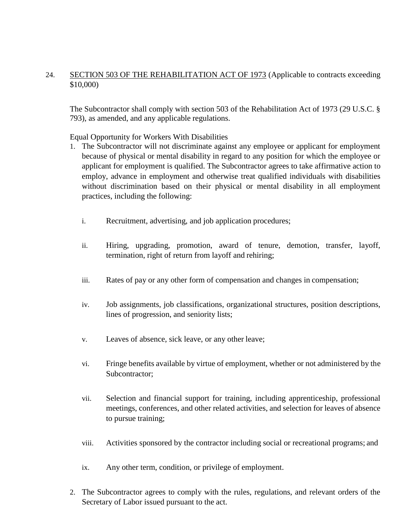## 24. SECTION 503 OF THE REHABILITATION ACT OF 1973 (Applicable to contracts exceeding \$10,000)

The Subcontractor shall comply with section 503 of the Rehabilitation Act of 1973 (29 U.S.C. § 793), as amended, and any applicable regulations.

Equal Opportunity for Workers With Disabilities

- 1. The Subcontractor will not discriminate against any employee or applicant for employment because of physical or mental disability in regard to any position for which the employee or applicant for employment is qualified. The Subcontractor agrees to take affirmative action to employ, advance in employment and otherwise treat qualified individuals with disabilities without discrimination based on their physical or mental disability in all employment practices, including the following:
	- i. Recruitment, advertising, and job application procedures;
	- ii. Hiring, upgrading, promotion, award of tenure, demotion, transfer, layoff, termination, right of return from layoff and rehiring;
	- iii. Rates of pay or any other form of compensation and changes in compensation;
	- iv. Job assignments, job classifications, organizational structures, position descriptions, lines of progression, and seniority lists;
	- v. Leaves of absence, sick leave, or any other leave;
	- vi. Fringe benefits available by virtue of employment, whether or not administered by the Subcontractor;
	- vii. Selection and financial support for training, including apprenticeship, professional meetings, conferences, and other related activities, and selection for leaves of absence to pursue training;
	- viii. Activities sponsored by the contractor including social or recreational programs; and
	- ix. Any other term, condition, or privilege of employment.
- 2. The Subcontractor agrees to comply with the rules, regulations, and relevant orders of the Secretary of Labor issued pursuant to the act.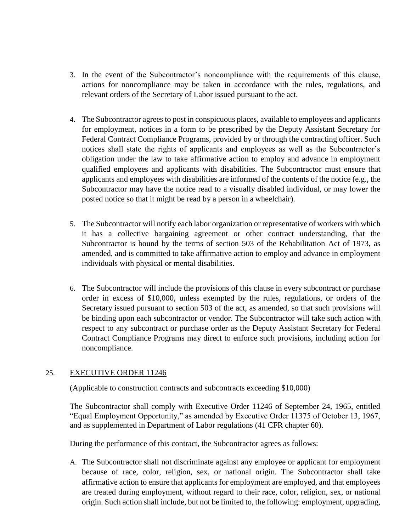- 3. In the event of the Subcontractor's noncompliance with the requirements of this clause, actions for noncompliance may be taken in accordance with the rules, regulations, and relevant orders of the Secretary of Labor issued pursuant to the act.
- 4. The Subcontractor agrees to post in conspicuous places, available to employees and applicants for employment, notices in a form to be prescribed by the Deputy Assistant Secretary for Federal Contract Compliance Programs, provided by or through the contracting officer. Such notices shall state the rights of applicants and employees as well as the Subcontractor's obligation under the law to take affirmative action to employ and advance in employment qualified employees and applicants with disabilities. The Subcontractor must ensure that applicants and employees with disabilities are informed of the contents of the notice (e.g., the Subcontractor may have the notice read to a visually disabled individual, or may lower the posted notice so that it might be read by a person in a wheelchair).
- 5. The Subcontractor will notify each labor organization or representative of workers with which it has a collective bargaining agreement or other contract understanding, that the Subcontractor is bound by the terms of section 503 of the Rehabilitation Act of 1973, as amended, and is committed to take affirmative action to employ and advance in employment individuals with physical or mental disabilities.
- 6. The Subcontractor will include the provisions of this clause in every subcontract or purchase order in excess of \$10,000, unless exempted by the rules, regulations, or orders of the Secretary issued pursuant to section 503 of the act, as amended, so that such provisions will be binding upon each subcontractor or vendor. The Subcontractor will take such action with respect to any subcontract or purchase order as the Deputy Assistant Secretary for Federal Contract Compliance Programs may direct to enforce such provisions, including action for noncompliance.

#### 25. EXECUTIVE ORDER 11246

(Applicable to construction contracts and subcontracts exceeding \$10,000)

The Subcontractor shall comply with Executive Order 11246 of September 24, 1965, entitled "Equal Employment Opportunity," as amended by Executive Order 11375 of October 13, 1967, and as supplemented in Department of Labor regulations (41 CFR chapter 60).

During the performance of this contract, the Subcontractor agrees as follows:

A. The Subcontractor shall not discriminate against any employee or applicant for employment because of race, color, religion, sex, or national origin. The Subcontractor shall take affirmative action to ensure that applicants for employment are employed, and that employees are treated during employment, without regard to their race, color, religion, sex, or national origin. Such action shall include, but not be limited to, the following: employment, upgrading,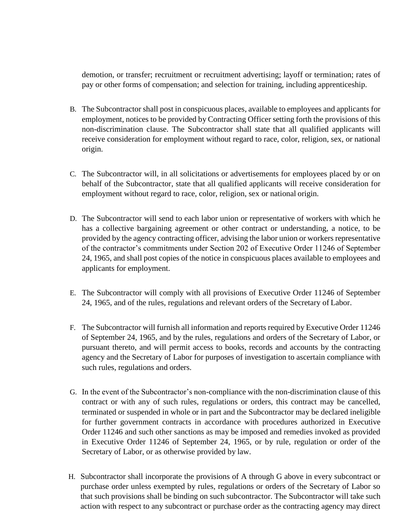demotion, or transfer; recruitment or recruitment advertising; layoff or termination; rates of pay or other forms of compensation; and selection for training, including apprenticeship.

- B. The Subcontractor shall post in conspicuous places, available to employees and applicants for employment, notices to be provided by Contracting Officer setting forth the provisions of this non-discrimination clause. The Subcontractor shall state that all qualified applicants will receive consideration for employment without regard to race, color, religion, sex, or national origin.
- C. The Subcontractor will, in all solicitations or advertisements for employees placed by or on behalf of the Subcontractor, state that all qualified applicants will receive consideration for employment without regard to race, color, religion, sex or national origin.
- D. The Subcontractor will send to each labor union or representative of workers with which he has a collective bargaining agreement or other contract or understanding, a notice, to be provided by the agency contracting officer, advising the labor union or workers representative of the contractor's commitments under Section 202 of Executive Order 11246 of September 24, 1965, and shall post copies of the notice in conspicuous places available to employees and applicants for employment.
- E. The Subcontractor will comply with all provisions of Executive Order 11246 of September 24, 1965, and of the rules, regulations and relevant orders of the Secretary of Labor.
- F. The Subcontractor will furnish all information and reports required by Executive Order 11246 of September 24, 1965, and by the rules, regulations and orders of the Secretary of Labor, or pursuant thereto, and will permit access to books, records and accounts by the contracting agency and the Secretary of Labor for purposes of investigation to ascertain compliance with such rules, regulations and orders.
- G. In the event of the Subcontractor's non-compliance with the non-discrimination clause of this contract or with any of such rules, regulations or orders, this contract may be cancelled, terminated or suspended in whole or in part and the Subcontractor may be declared ineligible for further government contracts in accordance with procedures authorized in Executive Order 11246 and such other sanctions as may be imposed and remedies invoked as provided in Executive Order 11246 of September 24, 1965, or by rule, regulation or order of the Secretary of Labor, or as otherwise provided by law.
- H. Subcontractor shall incorporate the provisions of A through G above in every subcontract or purchase order unless exempted by rules, regulations or orders of the Secretary of Labor so that such provisions shall be binding on such subcontractor. The Subcontractor will take such action with respect to any subcontract or purchase order as the contracting agency may direct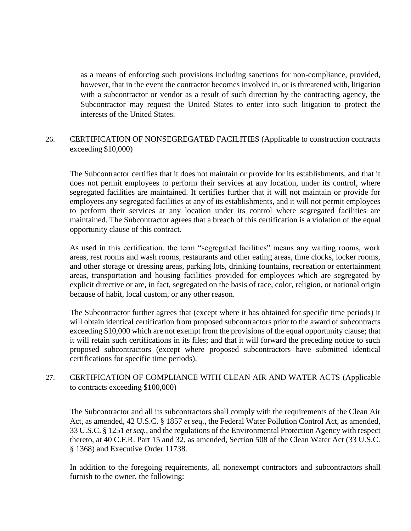as a means of enforcing such provisions including sanctions for non-compliance, provided, however, that in the event the contractor becomes involved in, or is threatened with, litigation with a subcontractor or vendor as a result of such direction by the contracting agency, the Subcontractor may request the United States to enter into such litigation to protect the interests of the United States.

## 26. CERTIFICATION OF NONSEGREGATED FACILITIES (Applicable to construction contracts exceeding \$10,000)

The Subcontractor certifies that it does not maintain or provide for its establishments, and that it does not permit employees to perform their services at any location, under its control, where segregated facilities are maintained. It certifies further that it will not maintain or provide for employees any segregated facilities at any of its establishments, and it will not permit employees to perform their services at any location under its control where segregated facilities are maintained. The Subcontractor agrees that a breach of this certification is a violation of the equal opportunity clause of this contract.

As used in this certification, the term "segregated facilities" means any waiting rooms, work areas, rest rooms and wash rooms, restaurants and other eating areas, time clocks, locker rooms, and other storage or dressing areas, parking lots, drinking fountains, recreation or entertainment areas, transportation and housing facilities provided for employees which are segregated by explicit directive or are, in fact, segregated on the basis of race, color, religion, or national origin because of habit, local custom, or any other reason.

The Subcontractor further agrees that (except where it has obtained for specific time periods) it will obtain identical certification from proposed subcontractors prior to the award of subcontracts exceeding \$10,000 which are not exempt from the provisions of the equal opportunity clause; that it will retain such certifications in its files; and that it will forward the preceding notice to such proposed subcontractors (except where proposed subcontractors have submitted identical certifications for specific time periods).

## 27. CERTIFICATION OF COMPLIANCE WITH CLEAN AIR AND WATER ACTS (Applicable to contracts exceeding \$100,000)

The Subcontractor and all its subcontractors shall comply with the requirements of the Clean Air Act, as amended, 42 U.S.C. § 1857 *et seq.*, the Federal Water Pollution Control Act, as amended, 33 U.S.C. § 1251 *et seq.*, and the regulations of the Environmental Protection Agency with respect thereto, at 40 C.F.R. Part 15 and 32, as amended, Section 508 of the Clean Water Act (33 U.S.C. § 1368) and Executive Order 11738.

In addition to the foregoing requirements, all nonexempt contractors and subcontractors shall furnish to the owner, the following: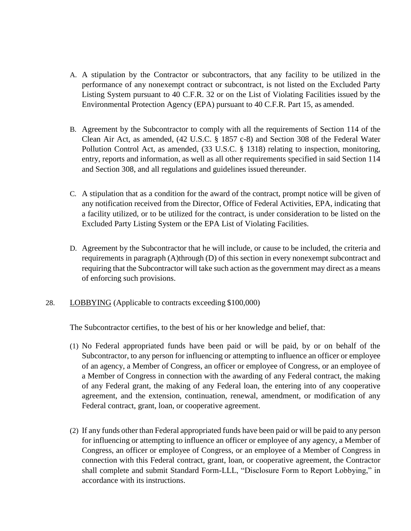- A. A stipulation by the Contractor or subcontractors, that any facility to be utilized in the performance of any nonexempt contract or subcontract, is not listed on the Excluded Party Listing System pursuant to 40 C.F.R. 32 or on the List of Violating Facilities issued by the Environmental Protection Agency (EPA) pursuant to 40 C.F.R. Part 15, as amended.
- B. Agreement by the Subcontractor to comply with all the requirements of Section 114 of the Clean Air Act, as amended, (42 U.S.C. § 1857 c-8) and Section 308 of the Federal Water Pollution Control Act, as amended, (33 U.S.C. § 1318) relating to inspection, monitoring, entry, reports and information, as well as all other requirements specified in said Section 114 and Section 308, and all regulations and guidelines issued thereunder.
- C. A stipulation that as a condition for the award of the contract, prompt notice will be given of any notification received from the Director, Office of Federal Activities, EPA, indicating that a facility utilized, or to be utilized for the contract, is under consideration to be listed on the Excluded Party Listing System or the EPA List of Violating Facilities.
- D. Agreement by the Subcontractor that he will include, or cause to be included, the criteria and requirements in paragraph (A)through (D) of this section in every nonexempt subcontract and requiring that the Subcontractor will take such action as the government may direct as a means of enforcing such provisions.
- 28. LOBBYING (Applicable to contracts exceeding \$100,000)

The Subcontractor certifies, to the best of his or her knowledge and belief, that:

- (1) No Federal appropriated funds have been paid or will be paid, by or on behalf of the Subcontractor, to any person for influencing or attempting to influence an officer or employee of an agency, a Member of Congress, an officer or employee of Congress, or an employee of a Member of Congress in connection with the awarding of any Federal contract, the making of any Federal grant, the making of any Federal loan, the entering into of any cooperative agreement, and the extension, continuation, renewal, amendment, or modification of any Federal contract, grant, loan, or cooperative agreement.
- (2) If any funds other than Federal appropriated funds have been paid or will be paid to any person for influencing or attempting to influence an officer or employee of any agency, a Member of Congress, an officer or employee of Congress, or an employee of a Member of Congress in connection with this Federal contract, grant, loan, or cooperative agreement, the Contractor shall complete and submit Standard Form-LLL, "Disclosure Form to Report Lobbying," in accordance with its instructions.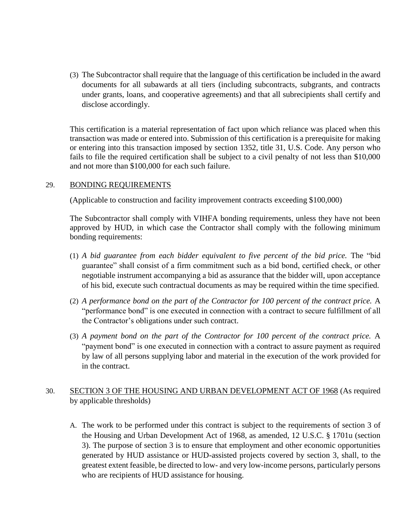(3) The Subcontractor shall require that the language of this certification be included in the award documents for all subawards at all tiers (including subcontracts, subgrants, and contracts under grants, loans, and cooperative agreements) and that all subrecipients shall certify and disclose accordingly.

This certification is a material representation of fact upon which reliance was placed when this transaction was made or entered into. Submission of this certification is a prerequisite for making or entering into this transaction imposed by section 1352, title 31, U.S. Code. Any person who fails to file the required certification shall be subject to a civil penalty of not less than \$10,000 and not more than \$100,000 for each such failure.

#### 29. BONDING REQUIREMENTS

(Applicable to construction and facility improvement contracts exceeding \$100,000)

The Subcontractor shall comply with VIHFA bonding requirements, unless they have not been approved by HUD, in which case the Contractor shall comply with the following minimum bonding requirements:

- (1) *A bid guarantee from each bidder equivalent to five percent of the bid price.* The "bid guarantee" shall consist of a firm commitment such as a bid bond, certified check, or other negotiable instrument accompanying a bid as assurance that the bidder will, upon acceptance of his bid, execute such contractual documents as may be required within the time specified.
- (2) *A performance bond on the part of the Contractor for 100 percent of the contract price.* A "performance bond" is one executed in connection with a contract to secure fulfillment of all the Contractor's obligations under such contract.
- (3) *A payment bond on the part of the Contractor for 100 percent of the contract price.* A "payment bond" is one executed in connection with a contract to assure payment as required by law of all persons supplying labor and material in the execution of the work provided for in the contract.

## 30. SECTION 3 OF THE HOUSING AND URBAN DEVELOPMENT ACT OF 1968 (As required by applicable thresholds)

A. The work to be performed under this contract is subject to the requirements of section 3 of the Housing and Urban Development Act of 1968, as amended, 12 U.S.C. § 1701u (section 3). The purpose of section 3 is to ensure that employment and other economic opportunities generated by HUD assistance or HUD-assisted projects covered by section 3, shall, to the greatest extent feasible, be directed to low- and very low-income persons, particularly persons who are recipients of HUD assistance for housing.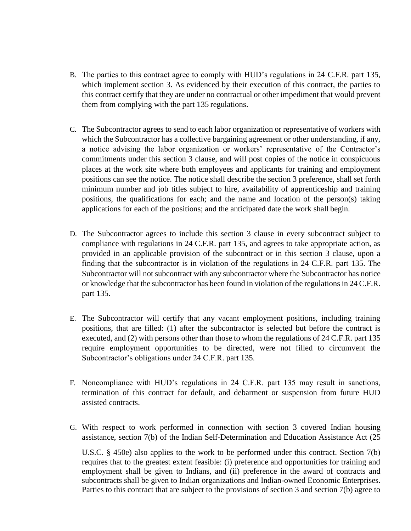- B. The parties to this contract agree to comply with HUD's regulations in 24 C.F.R. part 135, which implement section 3. As evidenced by their execution of this contract, the parties to this contract certify that they are under no contractual or other impediment that would prevent them from complying with the part 135 regulations.
- C. The Subcontractor agrees to send to each labor organization or representative of workers with which the Subcontractor has a collective bargaining agreement or other understanding, if any, a notice advising the labor organization or workers' representative of the Contractor's commitments under this section 3 clause, and will post copies of the notice in conspicuous places at the work site where both employees and applicants for training and employment positions can see the notice. The notice shall describe the section 3 preference, shall set forth minimum number and job titles subject to hire, availability of apprenticeship and training positions, the qualifications for each; and the name and location of the person(s) taking applications for each of the positions; and the anticipated date the work shall begin.
- D. The Subcontractor agrees to include this section 3 clause in every subcontract subject to compliance with regulations in 24 C.F.R. part 135, and agrees to take appropriate action, as provided in an applicable provision of the subcontract or in this section 3 clause, upon a finding that the subcontractor is in violation of the regulations in 24 C.F.R. part 135. The Subcontractor will not subcontract with any subcontractor where the Subcontractor has notice or knowledge that the subcontractor has been found in violation of the regulations in 24 C.F.R. part 135.
- E. The Subcontractor will certify that any vacant employment positions, including training positions, that are filled: (1) after the subcontractor is selected but before the contract is executed, and (2) with persons other than those to whom the regulations of 24 C.F.R. part 135 require employment opportunities to be directed, were not filled to circumvent the Subcontractor's obligations under 24 C.F.R. part 135.
- F. Noncompliance with HUD's regulations in 24 C.F.R. part 135 may result in sanctions, termination of this contract for default, and debarment or suspension from future HUD assisted contracts.
- G. With respect to work performed in connection with section 3 covered Indian housing assistance, section 7(b) of the Indian Self-Determination and Education Assistance Act (25

U.S.C. § 450e) also applies to the work to be performed under this contract. Section 7(b) requires that to the greatest extent feasible: (i) preference and opportunities for training and employment shall be given to Indians, and (ii) preference in the award of contracts and subcontracts shall be given to Indian organizations and Indian-owned Economic Enterprises. Parties to this contract that are subject to the provisions of section 3 and section 7(b) agree to